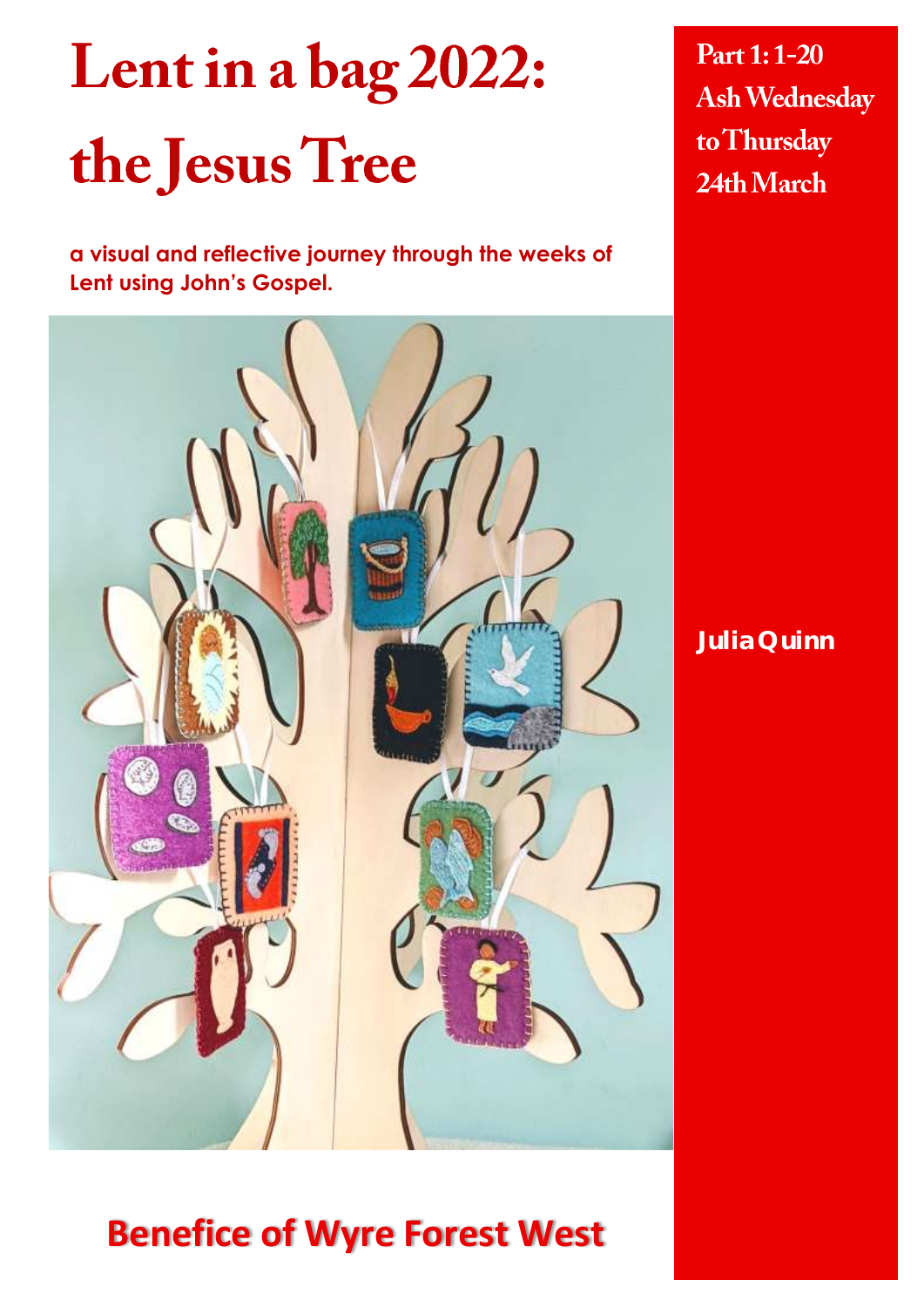# Lent in a bag 2022: the Jesus Tree

**a visual and reflective journey through the weeks of Lent using John's Gospel.**

Part 1:1-20 **Ash Wednesday** to Thursday 24th March

**Julia Quinn**

# **Benefice of Wyre Forest West**

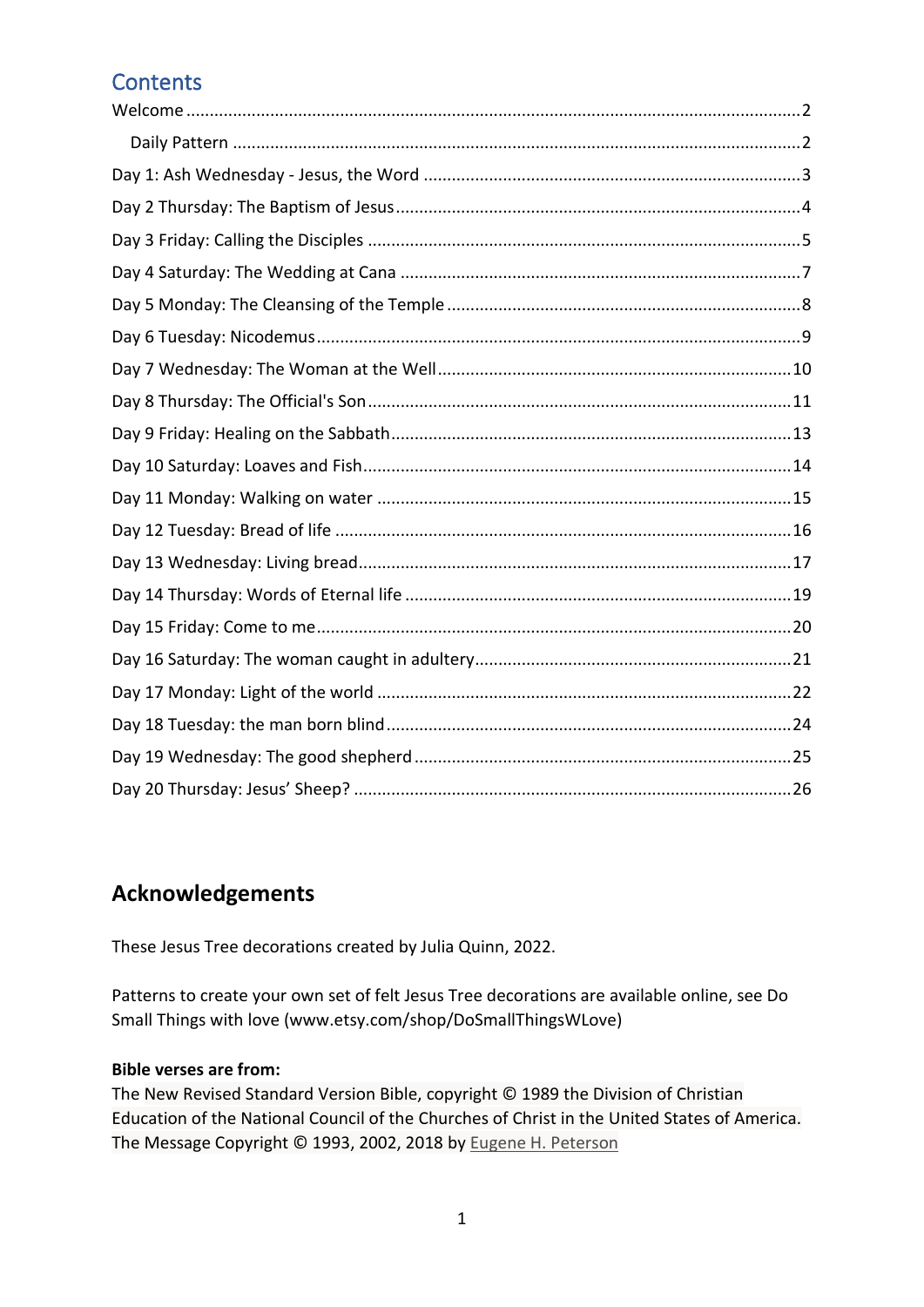### **Contents**

### **Acknowledgements**

These Jesus Tree decorations created by Julia Quinn, 2022.

Patterns to create your own set of felt Jesus Tree decorations are available online, see Do Small Things with love (www.etsy.com/shop/DoSmallThingsWLove)

#### **Bible verses are from:**

The New Revised Standard Version Bible, copyright © 1989 the Division of Christian Education of the National Council of the Churches of Christ in the United States of America. The Message Copyright © 1993, 2002, 2018 by [Eugene H. Peterson](https://www.biblegateway.com/versions/?action=getVersionInfo&vid=65)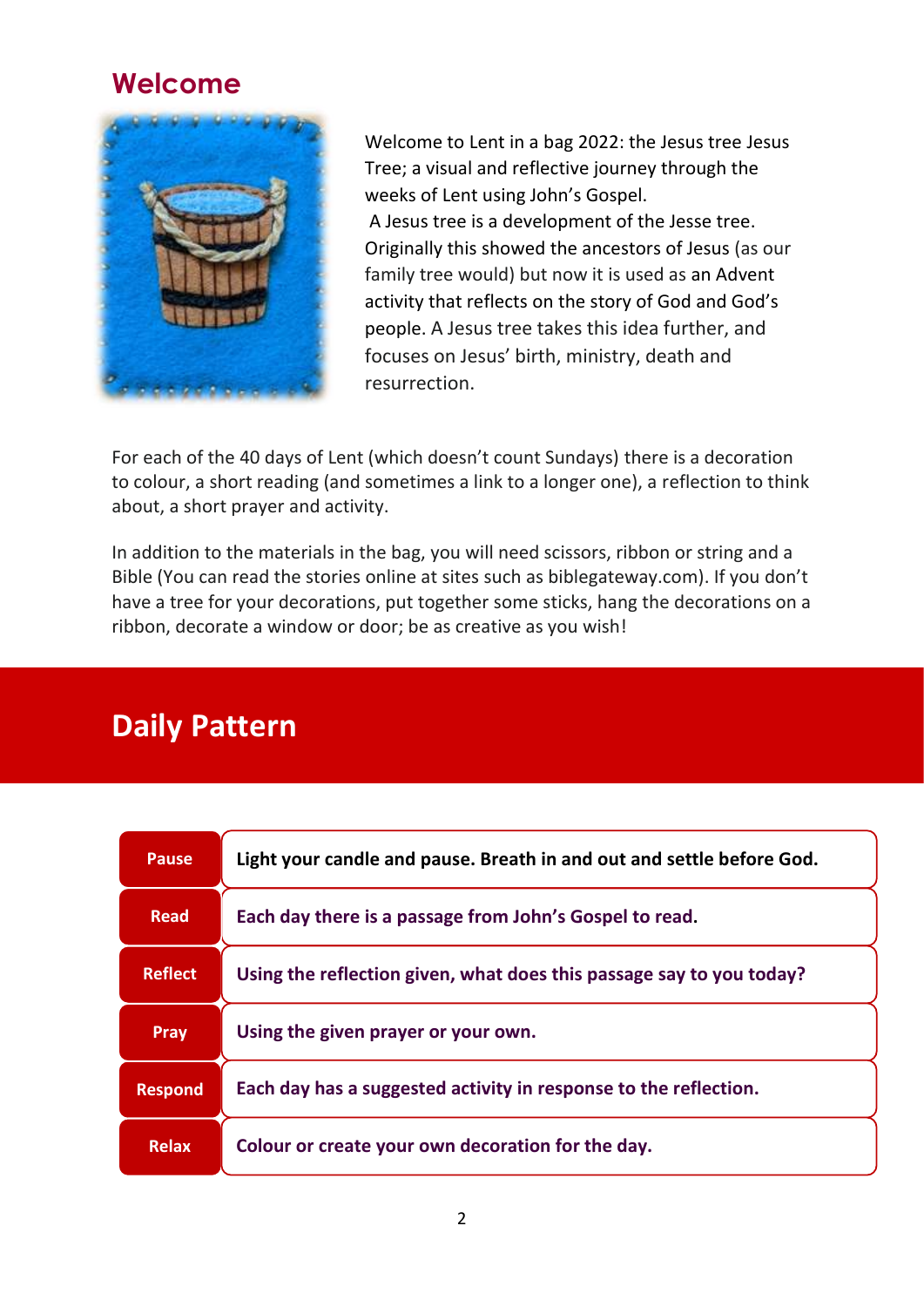### <span id="page-2-0"></span>**Welcome**



Welcome to Lent in a bag 2022: the Jesus tree Jesus Tree; a visual and reflective journey through the weeks of Lent using John's Gospel. A Jesus tree is a development of the Jesse tree. Originally this showed the ancestors of Jesus (as our family tree would) but now it is used as an Advent activity that reflects on the story of God and God's people. A Jesus tree takes this idea further, and focuses on Jesus' birth, ministry, death and resurrection.

For each of the 40 days of Lent (which doesn't count Sundays) there is a decoration to colour, a short reading (and sometimes a link to a longer one), a reflection to think about, a short prayer and activity.

In addition to the materials in the bag, you will need scissors, ribbon or string and a Bible (You can read the stories online at sites such as biblegateway.com). If you don't have a tree for your decorations, put together some sticks, hang the decorations on a ribbon, decorate a window or door; be as creative as you wish!

# **Daily Pattern**

| <b>Pause</b>   | Light your candle and pause. Breath in and out and settle before God. |
|----------------|-----------------------------------------------------------------------|
| <b>Read</b>    | Each day there is a passage from John's Gospel to read.               |
| <b>Reflect</b> | Using the reflection given, what does this passage say to you today?  |
| Pray           | Using the given prayer or your own.                                   |
| <b>Respond</b> | Each day has a suggested activity in response to the reflection.      |
| <b>Relax</b>   | Colour or create your own decoration for the day.                     |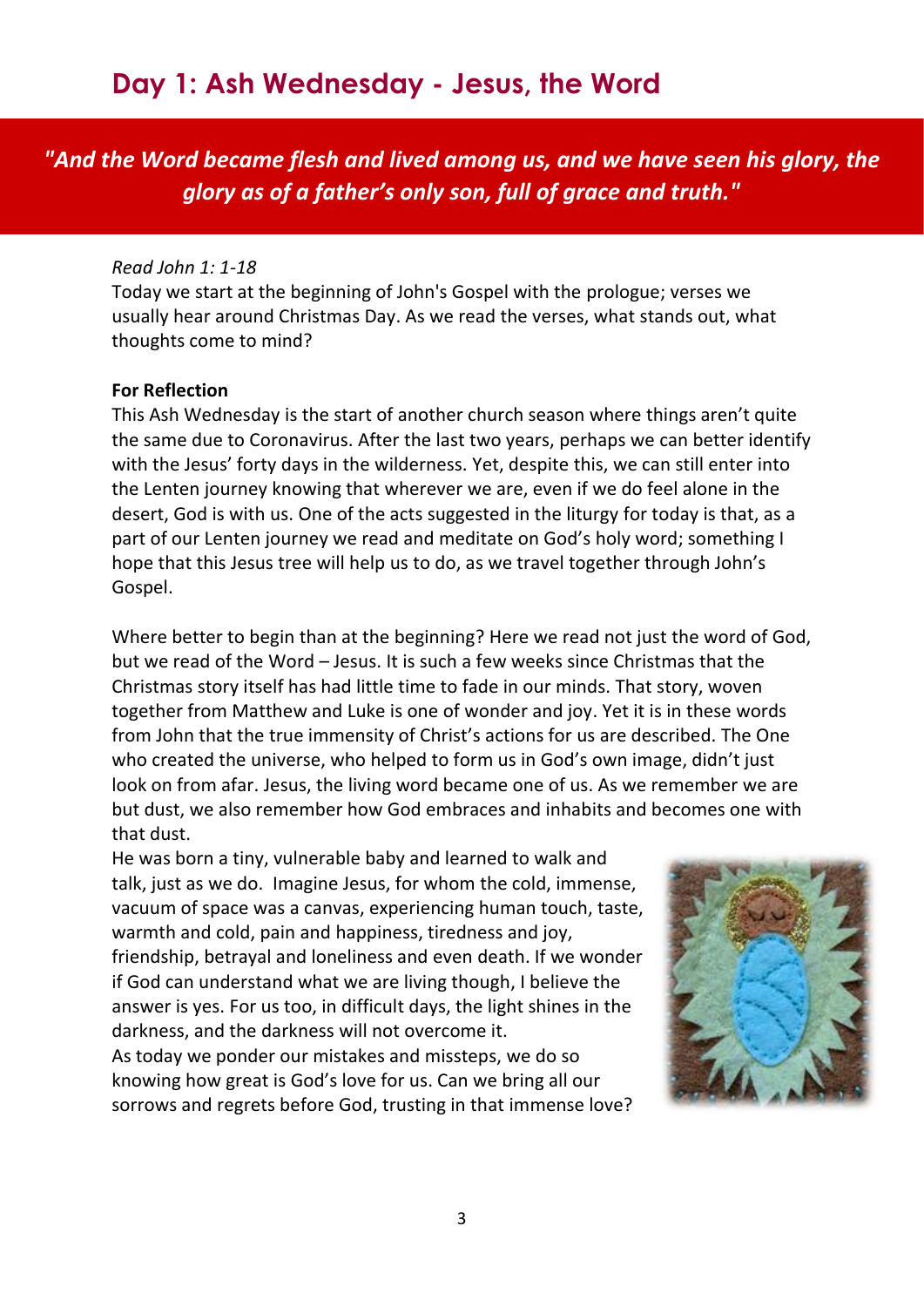<span id="page-3-0"></span>*"And the Word became flesh and lived among us, and we have seen his glory, the glory as of a father's only son, full of grace and truth."*

#### *Read John 1: 1-18*

Today we start at the beginning of John's Gospel with the prologue; verses we usually hear around Christmas Day. As we read the verses, what stands out, what thoughts come to mind?

#### **For Reflection**

This Ash Wednesday is the start of another church season where things aren't quite the same due to Coronavirus. After the last two years, perhaps we can better identify with the Jesus' forty days in the wilderness. Yet, despite this, we can still enter into the Lenten journey knowing that wherever we are, even if we do feel alone in the desert, God is with us. One of the acts suggested in the liturgy for today is that, as a part of our Lenten journey we read and meditate on God's holy word; something I hope that this Jesus tree will help us to do, as we travel together through John's Gospel.

Where better to begin than at the beginning? Here we read not just the word of God, but we read of the Word – Jesus. It is such a few weeks since Christmas that the Christmas story itself has had little time to fade in our minds. That story, woven together from Matthew and Luke is one of wonder and joy. Yet it is in these words from John that the true immensity of Christ's actions for us are described. The One who created the universe, who helped to form us in God's own image, didn't just look on from afar. Jesus, the living word became one of us. As we remember we are but dust, we also remember how God embraces and inhabits and becomes one with that dust.

He was born a tiny, vulnerable baby and learned to walk and talk, just as we do. Imagine Jesus, for whom the cold, immense, vacuum of space was a canvas, experiencing human touch, taste, warmth and cold, pain and happiness, tiredness and joy, friendship, betrayal and loneliness and even death. If we wonder if God can understand what we are living though, I believe the answer is yes. For us too, in difficult days, the light shines in the darkness, and the darkness will not overcome it.

As today we ponder our mistakes and missteps, we do so knowing how great is God's love for us. Can we bring all our sorrows and regrets before God, trusting in that immense love?

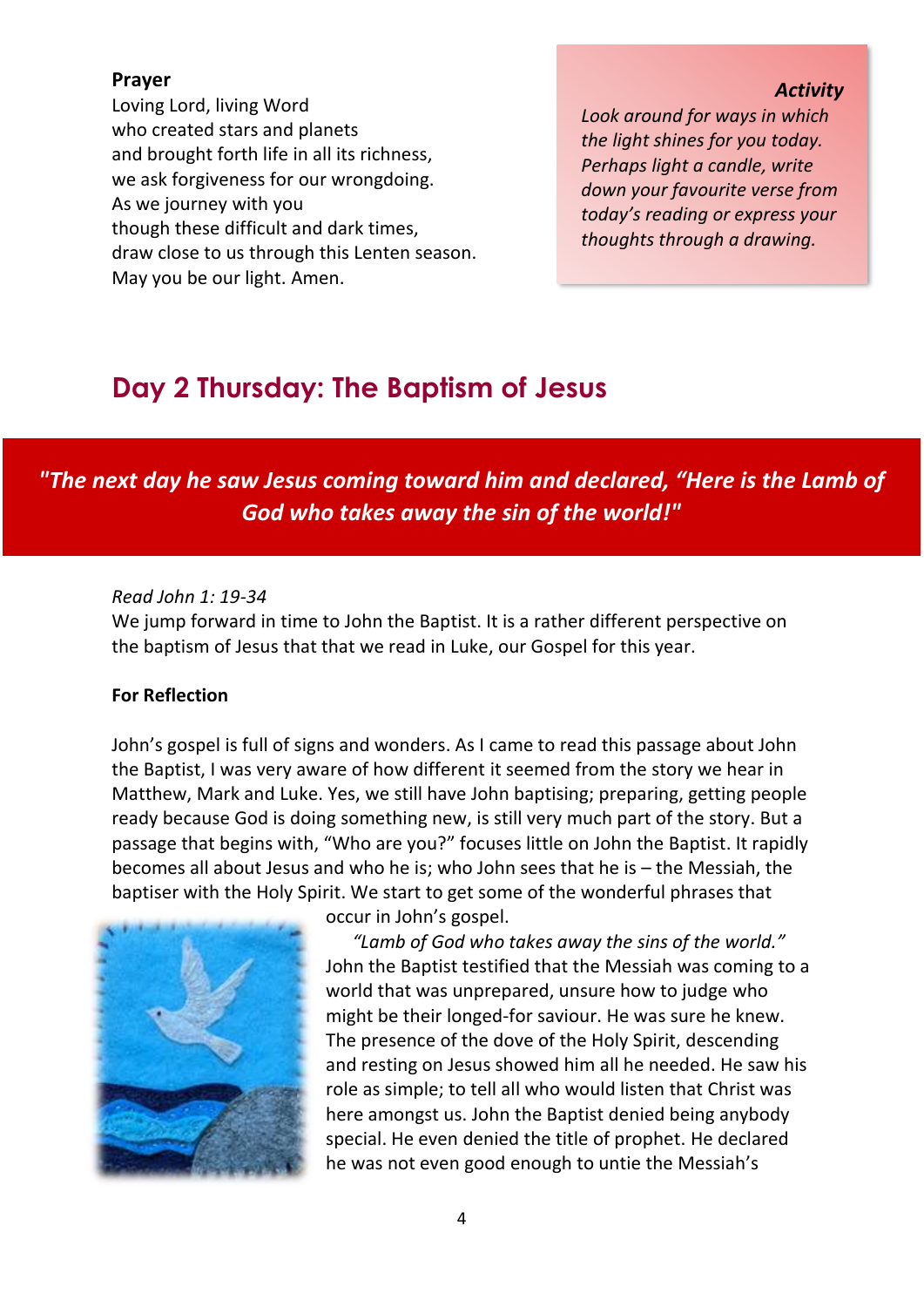#### **Prayer**

Loving Lord, living Word who created stars and planets and brought forth life in all its richness, we ask forgiveness for our wrongdoing. As we journey with you though these difficult and dark times, draw close to us through this Lenten season. May you be our light. Amen.

#### *Activity*

*Look around for ways in which the light shines for you today. Perhaps light a candle, write down your favourite verse from today's reading or express your thoughts through a drawing.*

# <span id="page-4-0"></span>**Day 2 Thursday: The Baptism of Jesus**

*"The next day he saw Jesus coming toward him and declared, "Here is the Lamb of God who takes away the sin of the world!"*

#### *Read John 1: 19-34*

We jump forward in time to John the Baptist. It is a rather different perspective on the baptism of Jesus that that we read in Luke, our Gospel for this year.

#### **For Reflection**

John's gospel is full of signs and wonders. As I came to read this passage about John the Baptist, I was very aware of how different it seemed from the story we hear in Matthew, Mark and Luke. Yes, we still have John baptising; preparing, getting people ready because God is doing something new, is still very much part of the story. But a passage that begins with, "Who are you?" focuses little on John the Baptist. It rapidly becomes all about Jesus and who he is; who John sees that he is – the Messiah, the baptiser with the Holy Spirit. We start to get some of the wonderful phrases that



occur in John's gospel.

*"Lamb of God who takes away the sins of the world."* John the Baptist testified that the Messiah was coming to a world that was unprepared, unsure how to judge who might be their longed-for saviour. He was sure he knew. The presence of the dove of the Holy Spirit, descending and resting on Jesus showed him all he needed. He saw his role as simple; to tell all who would listen that Christ was here amongst us. John the Baptist denied being anybody special. He even denied the title of prophet. He declared he was not even good enough to untie the Messiah's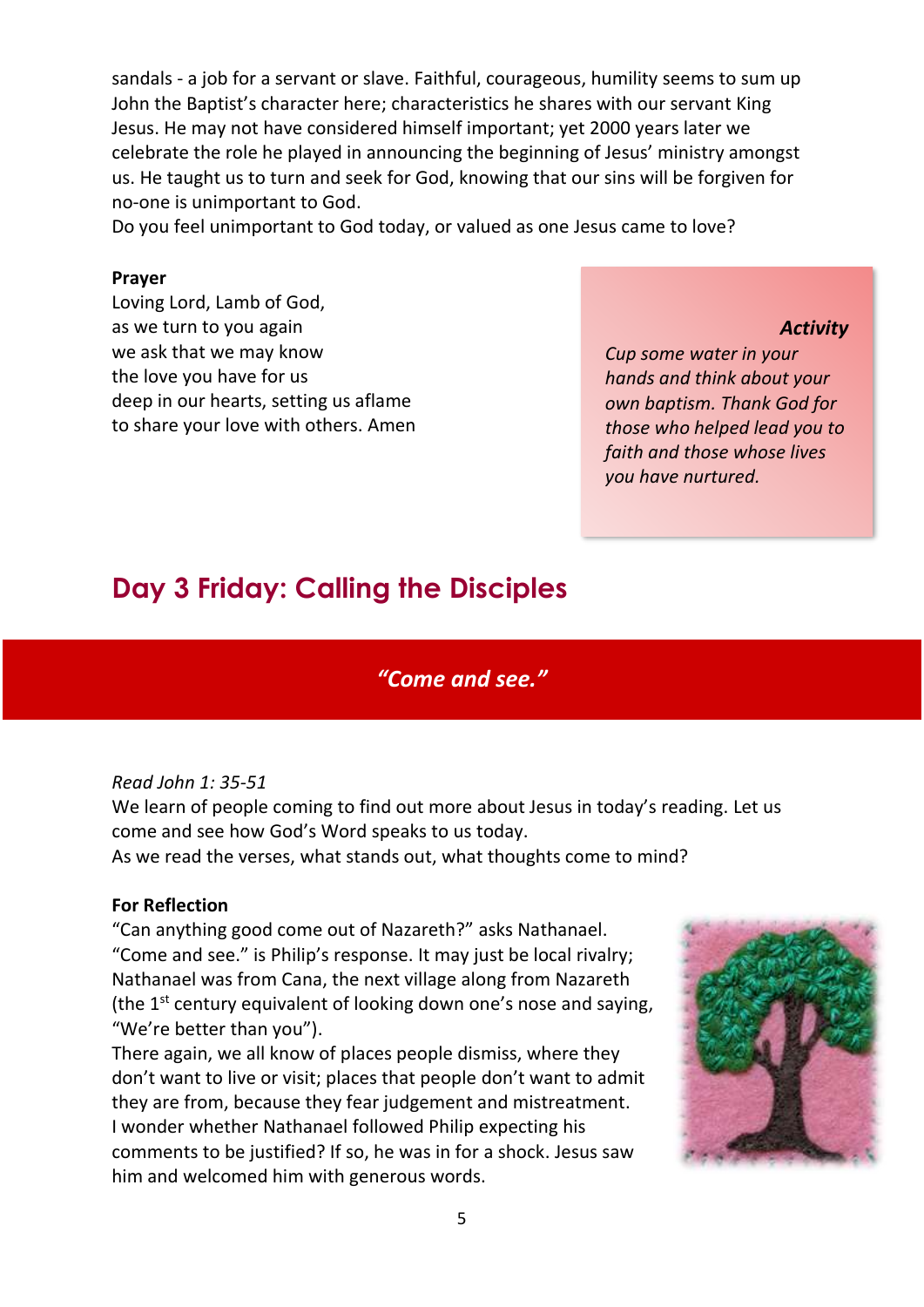sandals - a job for a servant or slave. Faithful, courageous, humility seems to sum up John the Baptist's character here; characteristics he shares with our servant King Jesus. He may not have considered himself important; yet 2000 years later we celebrate the role he played in announcing the beginning of Jesus' ministry amongst us. He taught us to turn and seek for God, knowing that our sins will be forgiven for no-one is unimportant to God.

Do you feel unimportant to God today, or valued as one Jesus came to love?

#### **Prayer**

Loving Lord, Lamb of God, as we turn to you again we ask that we may know the love you have for us deep in our hearts, setting us aflame to share your love with others. Amen

#### *Activity*

*Cup some water in your hands and think about your own baptism. Thank God for those who helped lead you to faith and those whose lives you have nurtured.*

# <span id="page-5-0"></span>**Day 3 Friday: Calling the Disciples**

### *"Come and see."*

#### *Read John 1: 35-51*

We learn of people coming to find out more about Jesus in today's reading. Let us come and see how God's Word speaks to us today.

As we read the verses, what stands out, what thoughts come to mind?

#### **For Reflection**

"Can anything good come out of Nazareth?" asks Nathanael. "Come and see." is Philip's response. It may just be local rivalry; Nathanael was from Cana, the next village along from Nazareth (the  $1<sup>st</sup>$  century equivalent of looking down one's nose and saying, "We're better than you").

There again, we all know of places people dismiss, where they don't want to live or visit; places that people don't want to admit they are from, because they fear judgement and mistreatment. I wonder whether Nathanael followed Philip expecting his comments to be justified? If so, he was in for a shock. Jesus saw him and welcomed him with generous words.

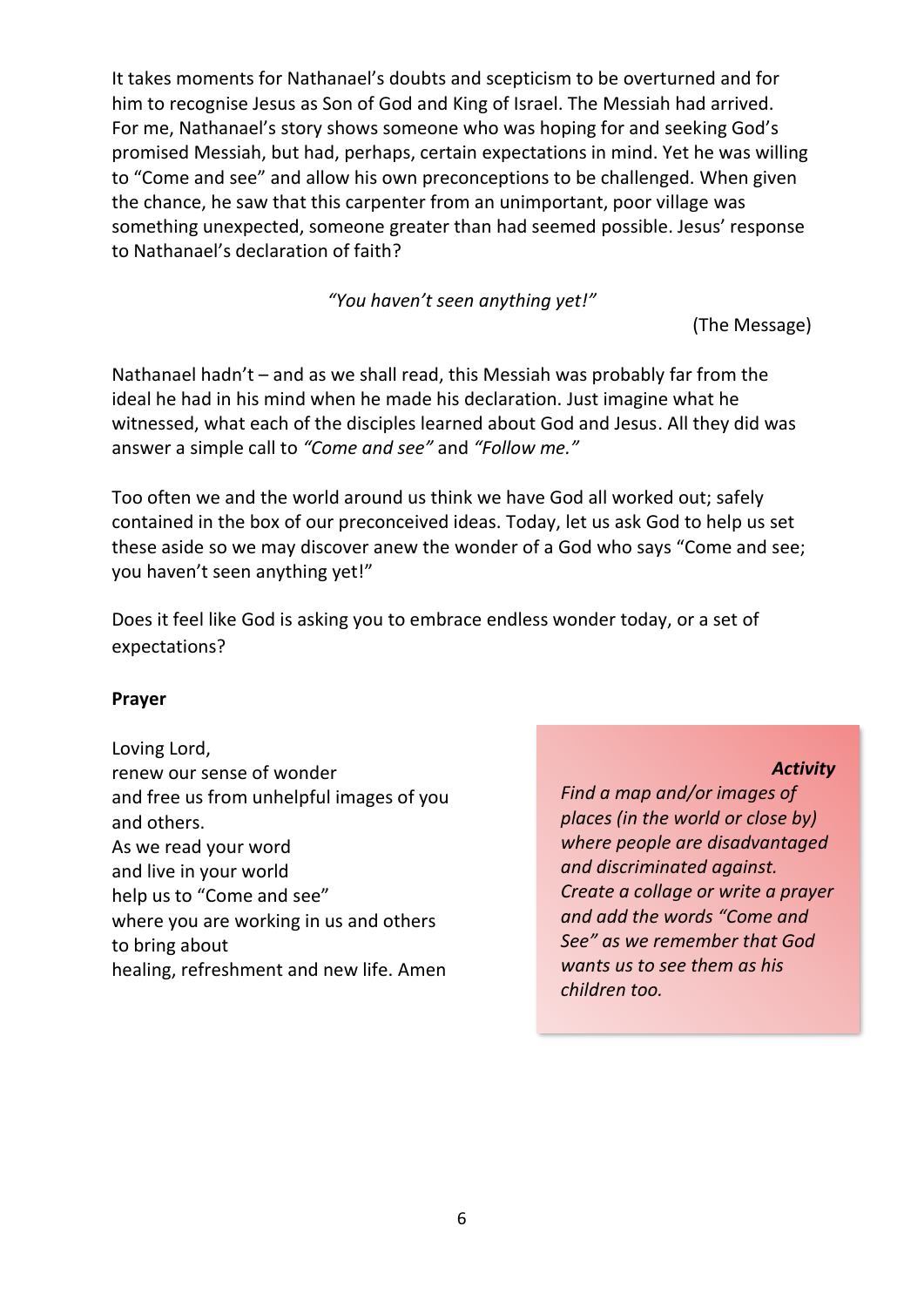It takes moments for Nathanael's doubts and scepticism to be overturned and for him to recognise Jesus as Son of God and King of Israel. The Messiah had arrived. For me, Nathanael's story shows someone who was hoping for and seeking God's promised Messiah, but had, perhaps, certain expectations in mind. Yet he was willing to "Come and see" and allow his own preconceptions to be challenged. When given the chance, he saw that this carpenter from an unimportant, poor village was something unexpected, someone greater than had seemed possible. Jesus' response to Nathanael's declaration of faith?

#### *"You haven't seen anything yet!"*

(The Message)

Nathanael hadn't – and as we shall read, this Messiah was probably far from the ideal he had in his mind when he made his declaration. Just imagine what he witnessed, what each of the disciples learned about God and Jesus. All they did was answer a simple call to *"Come and see"* and *"Follow me."*

Too often we and the world around us think we have God all worked out; safely contained in the box of our preconceived ideas. Today, let us ask God to help us set these aside so we may discover anew the wonder of a God who says "Come and see; you haven't seen anything yet!"

Does it feel like God is asking you to embrace endless wonder today, or a set of expectations?

#### **Prayer**

Loving Lord, renew our sense of wonder and free us from unhelpful images of you and others. As we read your word and live in your world help us to "Come and see" where you are working in us and others to bring about healing, refreshment and new life. Amen

#### *Activity*

*Find a map and/or images of places (in the world or close by) where people are disadvantaged and discriminated against. Create a collage or write a prayer and add the words "Come and See" as we remember that God wants us to see them as his children too.*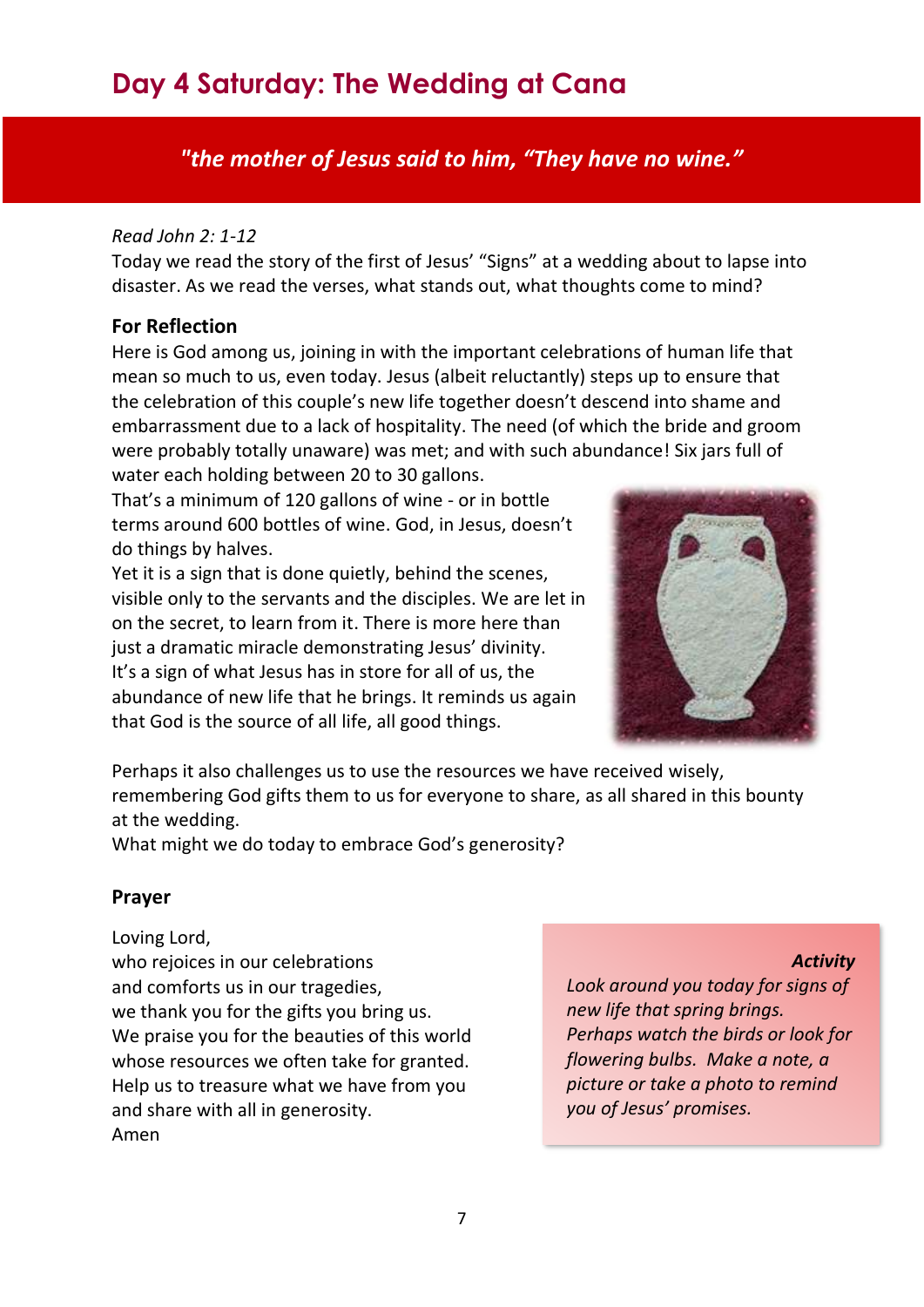# <span id="page-7-0"></span>**Day 4 Saturday: The Wedding at Cana**

*"the mother of Jesus said to him, "They have no wine."* 

#### *Read John 2: 1-12*

Today we read the story of the first of Jesus' "Signs" at a wedding about to lapse into disaster. As we read the verses, what stands out, what thoughts come to mind?

#### **For Reflection**

Here is God among us, joining in with the important celebrations of human life that mean so much to us, even today. Jesus (albeit reluctantly) steps up to ensure that the celebration of this couple's new life together doesn't descend into shame and embarrassment due to a lack of hospitality. The need (of which the bride and groom were probably totally unaware) was met; and with such abundance! Six jars full of water each holding between 20 to 30 gallons.

That's a minimum of 120 gallons of wine - or in bottle terms around 600 bottles of wine. God, in Jesus, doesn't do things by halves.

Yet it is a sign that is done quietly, behind the scenes, visible only to the servants and the disciples. We are let in on the secret, to learn from it. There is more here than just a dramatic miracle demonstrating Jesus' divinity. It's a sign of what Jesus has in store for all of us, the abundance of new life that he brings. It reminds us again that God is the source of all life, all good things.



Perhaps it also challenges us to use the resources we have received wisely, remembering God gifts them to us for everyone to share, as all shared in this bounty at the wedding.

What might we do today to embrace God's generosity?

#### **Prayer**

Loving Lord, who rejoices in our celebrations and comforts us in our tragedies, we thank you for the gifts you bring us. We praise you for the beauties of this world whose resources we often take for granted. Help us to treasure what we have from you and share with all in generosity. Amen

*Activity*

*Look around you today for signs of new life that spring brings. Perhaps watch the birds or look for flowering bulbs. Make a note, a picture or take a photo to remind you of Jesus' promises.*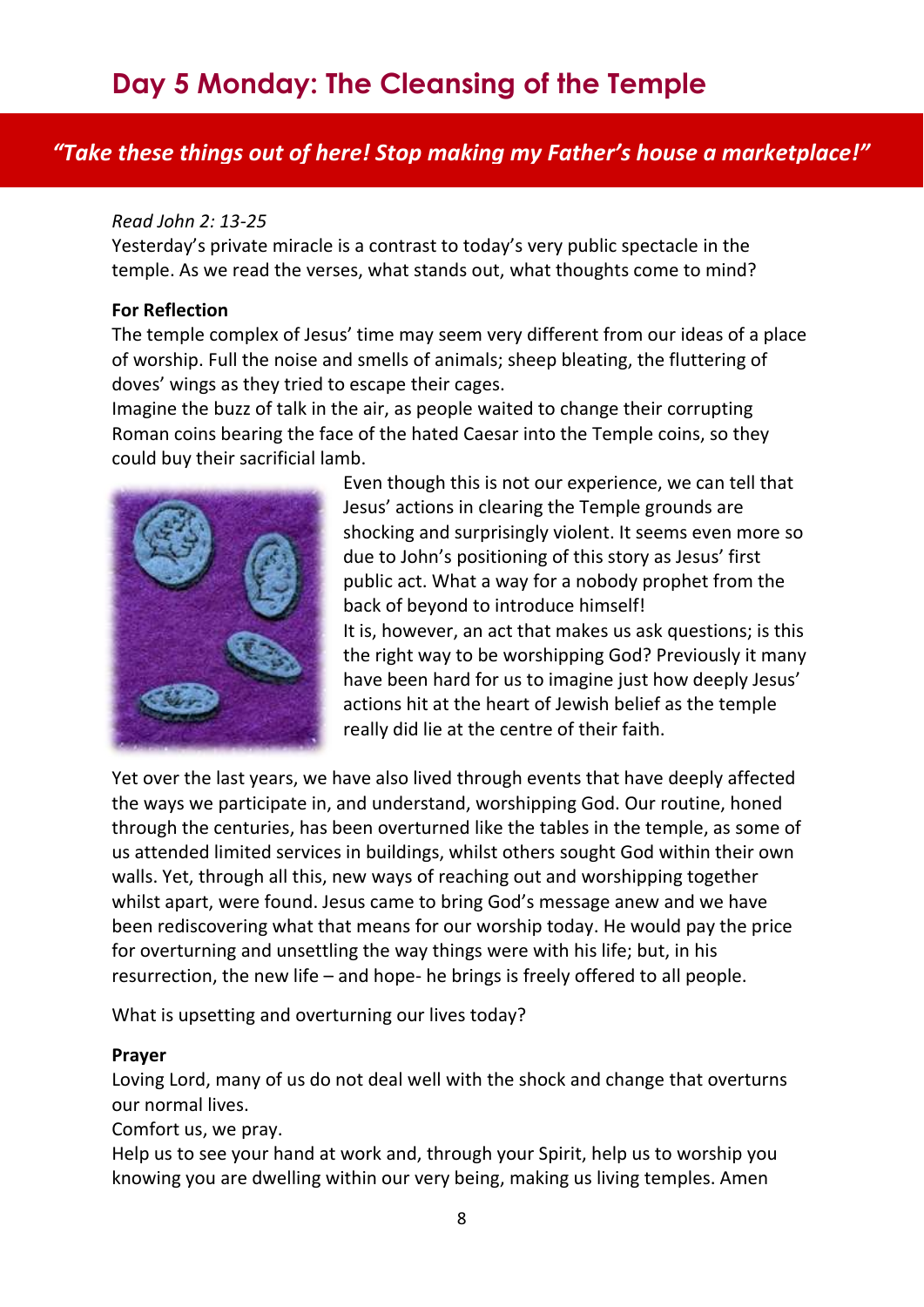### <span id="page-8-0"></span>*"Take these things out of here! Stop making my Father's house a marketplace!"*

#### *Read John 2: 13-25*

Yesterday's private miracle is a contrast to today's very public spectacle in the temple. As we read the verses, what stands out, what thoughts come to mind?

#### **For Reflection**

The temple complex of Jesus' time may seem very different from our ideas of a place of worship. Full the noise and smells of animals; sheep bleating, the fluttering of doves' wings as they tried to escape their cages.

Imagine the buzz of talk in the air, as people waited to change their corrupting Roman coins bearing the face of the hated Caesar into the Temple coins, so they could buy their sacrificial lamb.



Even though this is not our experience, we can tell that Jesus' actions in clearing the Temple grounds are shocking and surprisingly violent. It seems even more so due to John's positioning of this story as Jesus' first public act. What a way for a nobody prophet from the back of beyond to introduce himself! It is, however, an act that makes us ask questions; is this the right way to be worshipping God? Previously it many have been hard for us to imagine just how deeply Jesus' actions hit at the heart of Jewish belief as the temple really did lie at the centre of their faith.

Yet over the last years, we have also lived through events that have deeply affected the ways we participate in, and understand, worshipping God. Our routine, honed through the centuries, has been overturned like the tables in the temple, as some of us attended limited services in buildings, whilst others sought God within their own walls. Yet, through all this, new ways of reaching out and worshipping together whilst apart, were found. Jesus came to bring God's message anew and we have been rediscovering what that means for our worship today. He would pay the price for overturning and unsettling the way things were with his life; but, in his resurrection, the new life – and hope- he brings is freely offered to all people.

What is upsetting and overturning our lives today?

#### **Prayer**

Loving Lord, many of us do not deal well with the shock and change that overturns our normal lives.

Comfort us, we pray.

Help us to see your hand at work and, through your Spirit, help us to worship you knowing you are dwelling within our very being, making us living temples. Amen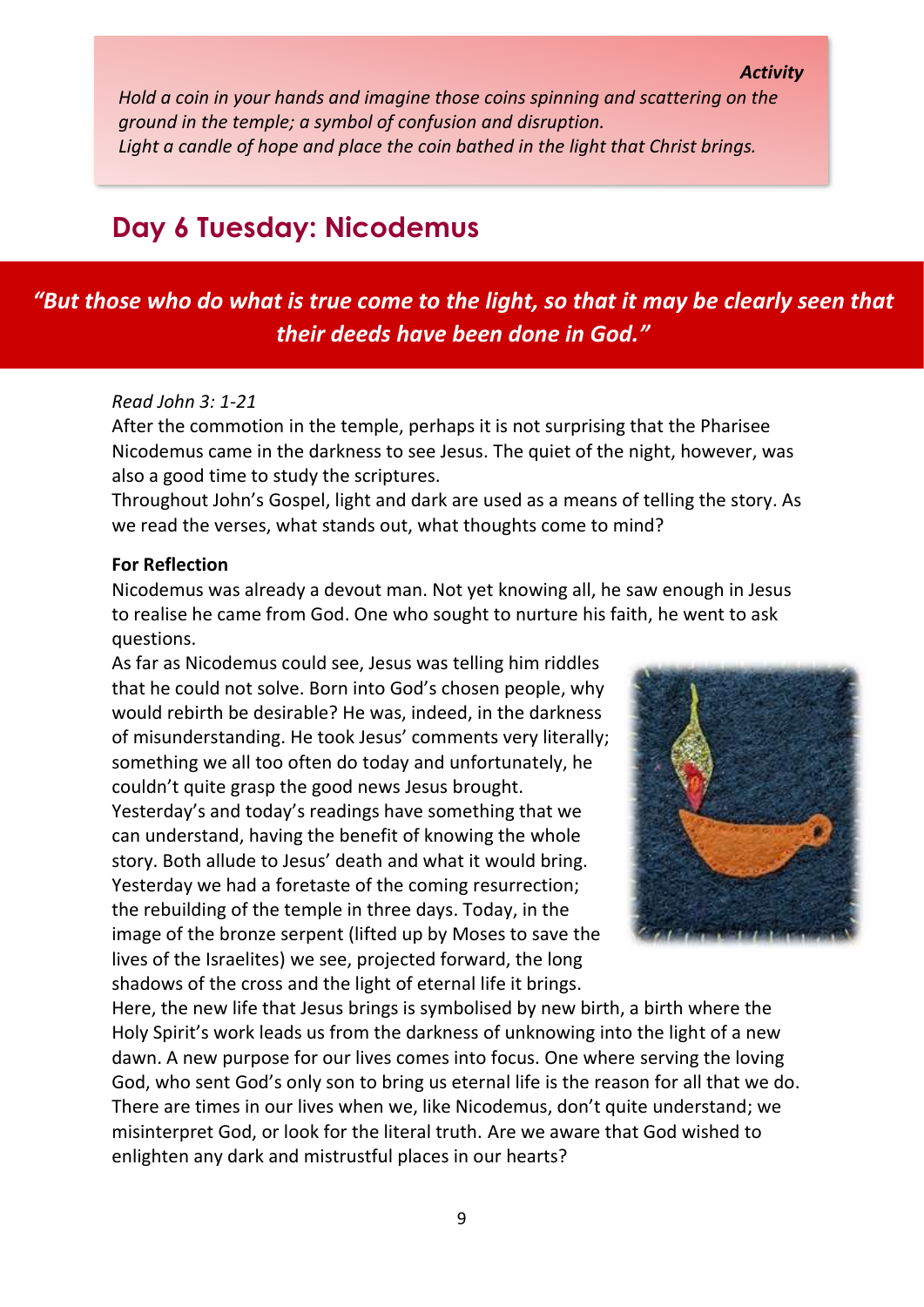*Hold a coin in your hands and imagine those coins spinning and scattering on the ground in the temple; a symbol of confusion and disruption. Light a candle of hope and place the coin bathed in the light that Christ brings.* 

### <span id="page-9-0"></span>**Day 6 Tuesday: Nicodemus**

### *"But those who do what is true come to the light, so that it may be clearly seen that their deeds have been done in God."*

#### *Read John 3: 1-21*

After the commotion in the temple, perhaps it is not surprising that the Pharisee Nicodemus came in the darkness to see Jesus. The quiet of the night, however, was also a good time to study the scriptures.

Throughout John's Gospel, light and dark are used as a means of telling the story. As we read the verses, what stands out, what thoughts come to mind?

#### **For Reflection**

Nicodemus was already a devout man. Not yet knowing all, he saw enough in Jesus to realise he came from God. One who sought to nurture his faith, he went to ask questions.

As far as Nicodemus could see, Jesus was telling him riddles that he could not solve. Born into God's chosen people, why would rebirth be desirable? He was, indeed, in the darkness of misunderstanding. He took Jesus' comments very literally; something we all too often do today and unfortunately, he couldn't quite grasp the good news Jesus brought. Yesterday's and today's readings have something that we can understand, having the benefit of knowing the whole story. Both allude to Jesus' death and what it would bring. Yesterday we had a foretaste of the coming resurrection; the rebuilding of the temple in three days. Today, in the image of the bronze serpent (lifted up by Moses to save the lives of the Israelites) we see, projected forward, the long shadows of the cross and the light of eternal life it brings.



Here, the new life that Jesus brings is symbolised by new birth, a birth where the Holy Spirit's work leads us from the darkness of unknowing into the light of a new dawn. A new purpose for our lives comes into focus. One where serving the loving God, who sent God's only son to bring us eternal life is the reason for all that we do. There are times in our lives when we, like Nicodemus, don't quite understand; we misinterpret God, or look for the literal truth. Are we aware that God wished to enlighten any dark and mistrustful places in our hearts?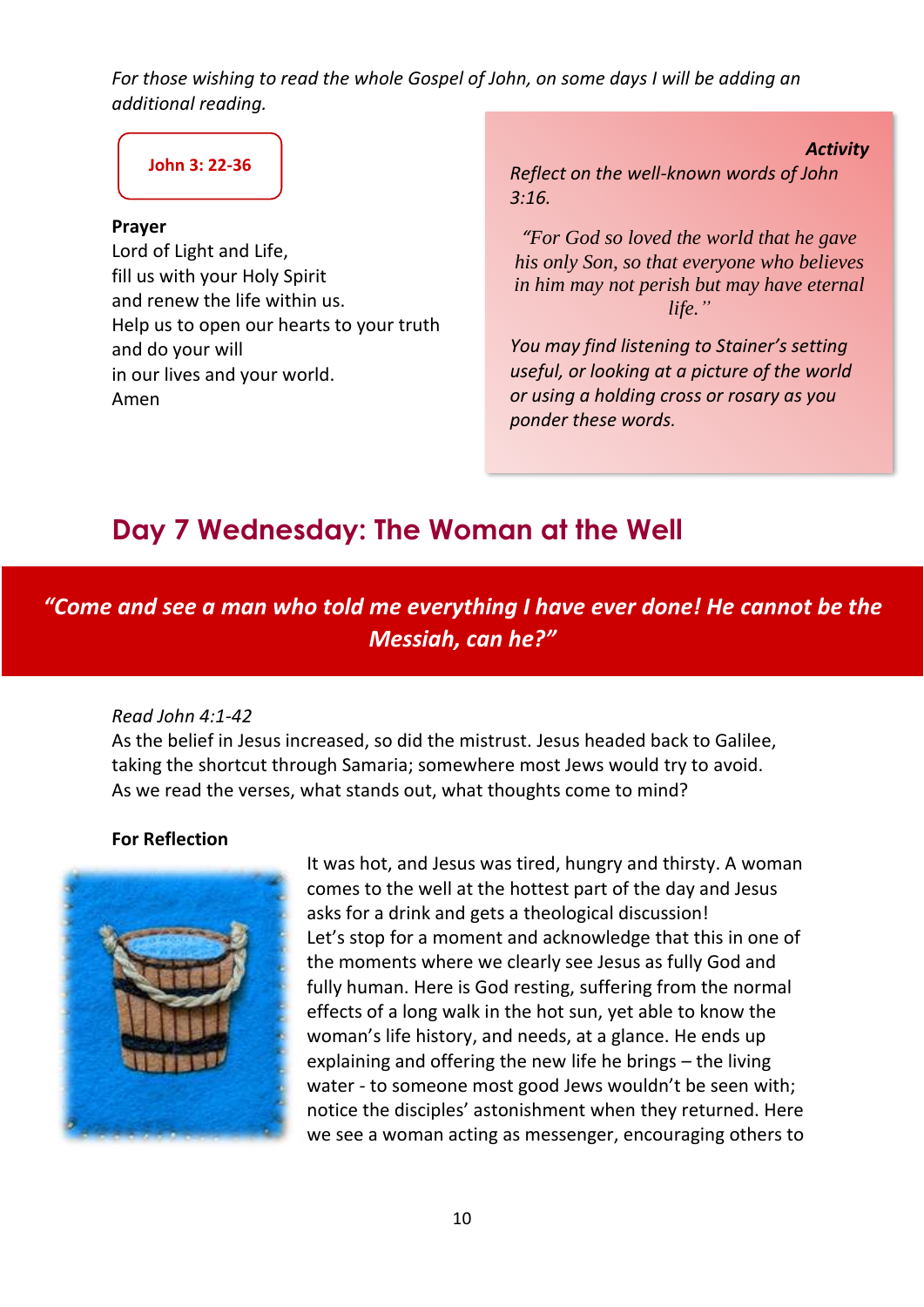*For those wishing to read the whole Gospel of John, on some days I will be adding an additional reading.* 

### **[John 3: 22-36](https://www.biblegateway.com/passage/?search=John+3%3A22-36&version=NRSV)**

#### **Prayer**

Lord of Light and Life, fill us with your Holy Spirit and renew the life within us. Help us to open our hearts to your truth and do your will in our lives and your world. Amen

*Activity Reflect on the well-known words of John 3:16.*

*"For God so loved the world that he gave his only Son, so that everyone who believes in him may not perish but may have eternal life."*

*You may find listening to Stainer's setting useful, or looking at a picture of the world or using a holding cross or rosary as you ponder these words.*

# <span id="page-10-0"></span>**Day 7 Wednesday: The Woman at the Well**

*"Come and see a man who told me everything I have ever done! He cannot be the Messiah, can he?"*

#### *Read John 4:1-42*

As the belief in Jesus increased, so did the mistrust. Jesus headed back to Galilee, taking the shortcut through Samaria; somewhere most Jews would try to avoid. As we read the verses, what stands out, what thoughts come to mind?

#### **For Reflection**



It was hot, and Jesus was tired, hungry and thirsty. A woman comes to the well at the hottest part of the day and Jesus asks for a drink and gets a theological discussion! Let's stop for a moment and acknowledge that this in one of the moments where we clearly see Jesus as fully God and fully human. Here is God resting, suffering from the normal effects of a long walk in the hot sun, yet able to know the woman's life history, and needs, at a glance. He ends up explaining and offering the new life he brings – the living water - to someone most good Jews wouldn't be seen with; notice the disciples' astonishment when they returned. Here we see a woman acting as messenger, encouraging others to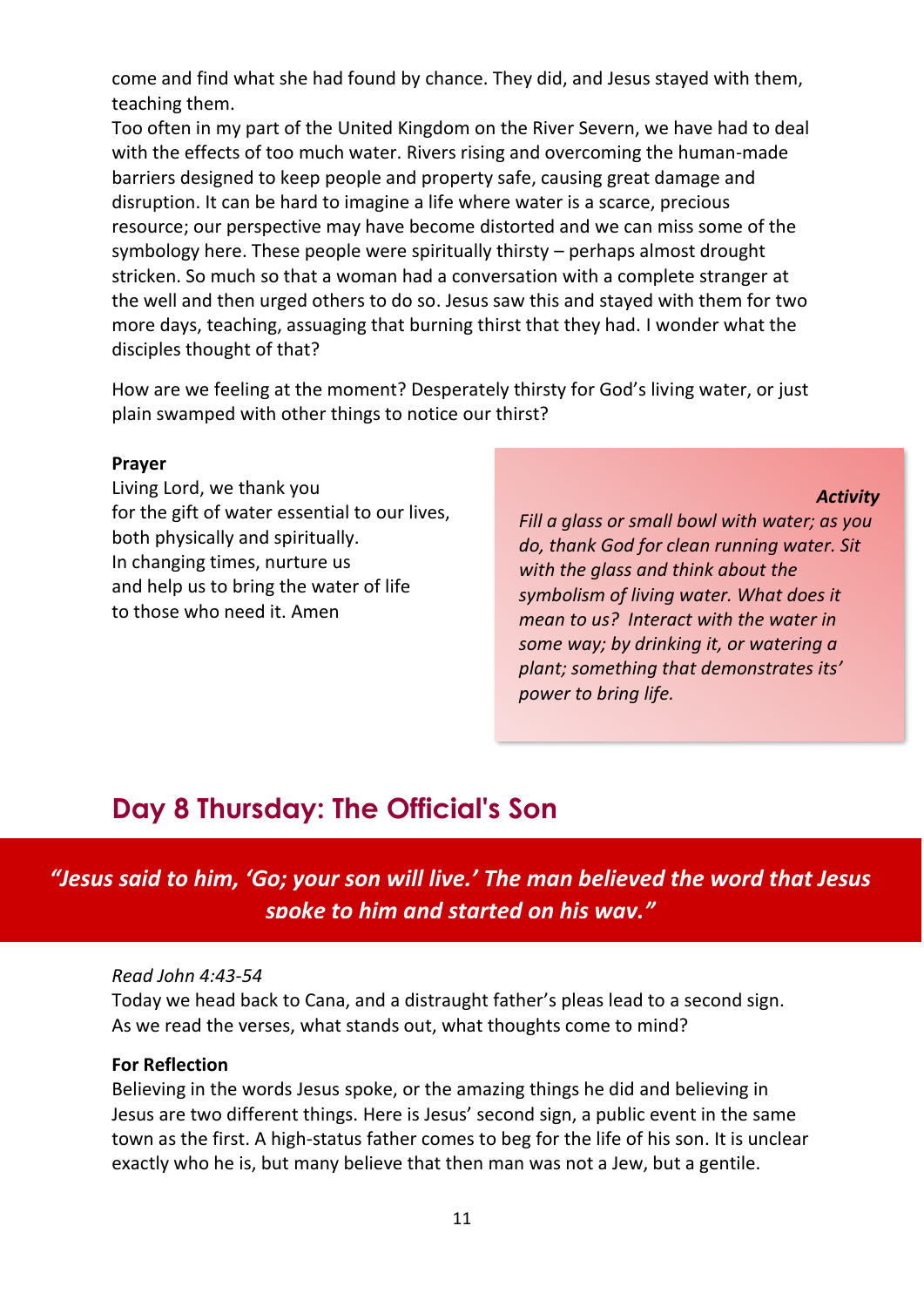come and find what she had found by chance. They did, and Jesus stayed with them, teaching them.

Too often in my part of the United Kingdom on the River Severn, we have had to deal with the effects of too much water. Rivers rising and overcoming the human-made barriers designed to keep people and property safe, causing great damage and disruption. It can be hard to imagine a life where water is a scarce, precious resource; our perspective may have become distorted and we can miss some of the symbology here. These people were spiritually thirsty – perhaps almost drought stricken. So much so that a woman had a conversation with a complete stranger at the well and then urged others to do so. Jesus saw this and stayed with them for two more days, teaching, assuaging that burning thirst that they had. I wonder what the disciples thought of that?

How are we feeling at the moment? Desperately thirsty for God's living water, or just plain swamped with other things to notice our thirst?

#### **Prayer**

Living Lord, we thank you for the gift of water essential to our lives, both physically and spiritually. In changing times, nurture us and help us to bring the water of life to those who need it. Amen

*Fill a glass or small bowl with water; as you do, thank God for clean running water. Sit with the glass and think about the symbolism of living water. What does it mean to us? Interact with the water in some way; by drinking it, or watering a plant; something that demonstrates its' power to bring life.* 

*Activity*

### <span id="page-11-0"></span>**Day 8 Thursday: The Official's Son**

*"Jesus said to him, 'Go; your son will live.' The man believed the word that Jesus spoke to him and started on his way."*

#### *Read John 4:43-54*

Today we head back to Cana, and a distraught father's pleas lead to a second sign. As we read the verses, what stands out, what thoughts come to mind?

#### **For Reflection**

Believing in the words Jesus spoke, or the amazing things he did and believing in Jesus are two different things. Here is Jesus' second sign, a public event in the same town as the first. A high-status father comes to beg for the life of his son. It is unclear exactly who he is, but many believe that then man was not a Jew, but a gentile.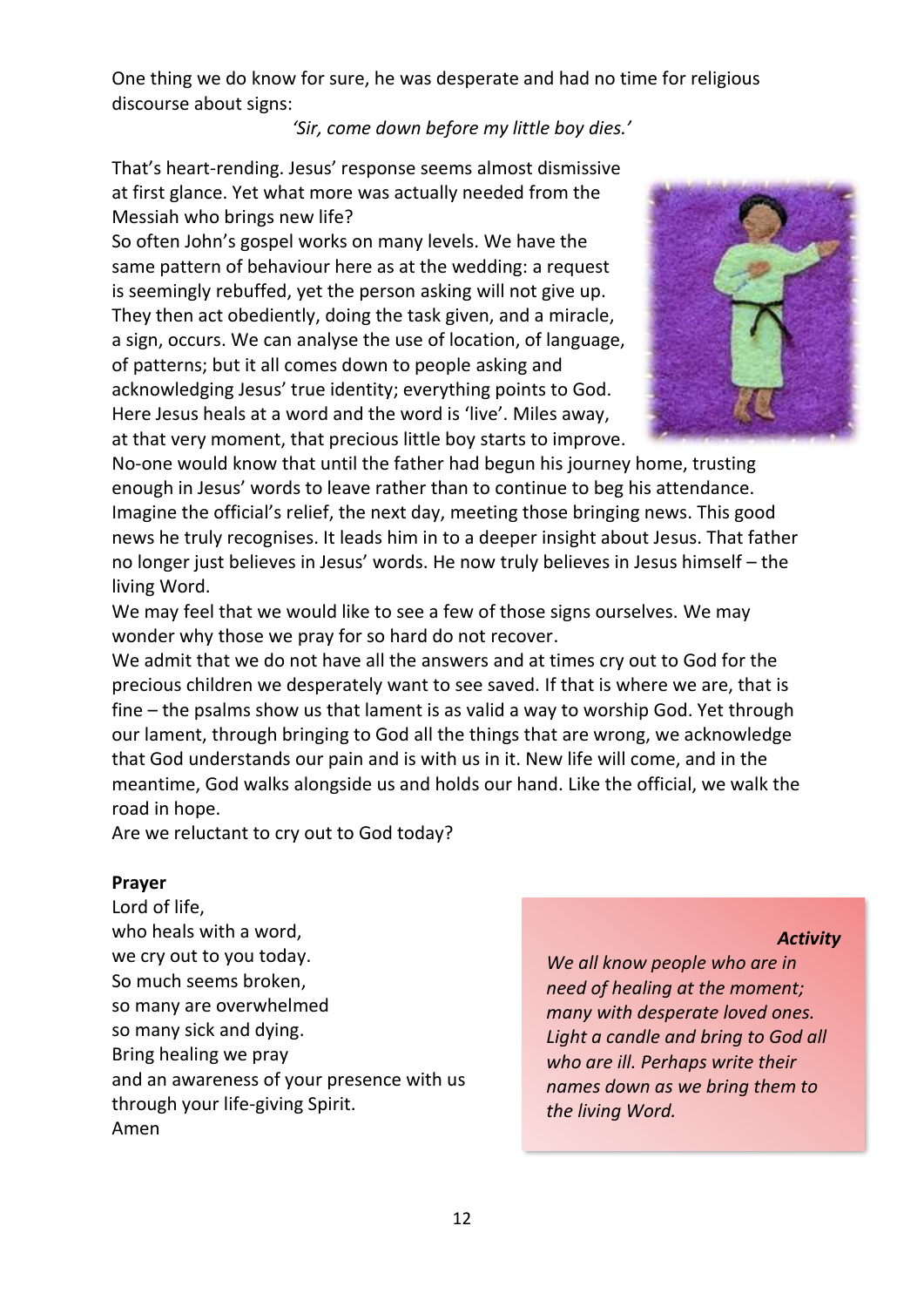One thing we do know for sure, he was desperate and had no time for religious discourse about signs:

#### *'Sir, come down before my little boy dies.'*

That's heart-rending. Jesus' response seems almost dismissive at first glance. Yet what more was actually needed from the Messiah who brings new life?

So often John's gospel works on many levels. We have the same pattern of behaviour here as at the wedding: a request is seemingly rebuffed, yet the person asking will not give up. They then act obediently, doing the task given, and a miracle, a sign, occurs. We can analyse the use of location, of language, of patterns; but it all comes down to people asking and acknowledging Jesus' true identity; everything points to God. Here Jesus heals at a word and the word is 'live'. Miles away, at that very moment, that precious little boy starts to improve.



No-one would know that until the father had begun his journey home, trusting enough in Jesus' words to leave rather than to continue to beg his attendance. Imagine the official's relief, the next day, meeting those bringing news. This good news he truly recognises. It leads him in to a deeper insight about Jesus. That father no longer just believes in Jesus' words. He now truly believes in Jesus himself – the living Word.

We may feel that we would like to see a few of those signs ourselves. We may wonder why those we pray for so hard do not recover.

We admit that we do not have all the answers and at times cry out to God for the precious children we desperately want to see saved. If that is where we are, that is fine – the psalms show us that lament is as valid a way to worship God. Yet through our lament, through bringing to God all the things that are wrong, we acknowledge that God understands our pain and is with us in it. New life will come, and in the meantime, God walks alongside us and holds our hand. Like the official, we walk the road in hope.

Are we reluctant to cry out to God today?

#### **Prayer**

Lord of life, who heals with a word, we cry out to you today. So much seems broken, so many are overwhelmed so many sick and dying. Bring healing we pray and an awareness of your presence with us through your life-giving Spirit. Amen

#### *Activity*

*We all know people who are in need of healing at the moment; many with desperate loved ones. Light a candle and bring to God all who are ill. Perhaps write their names down as we bring them to the living Word.*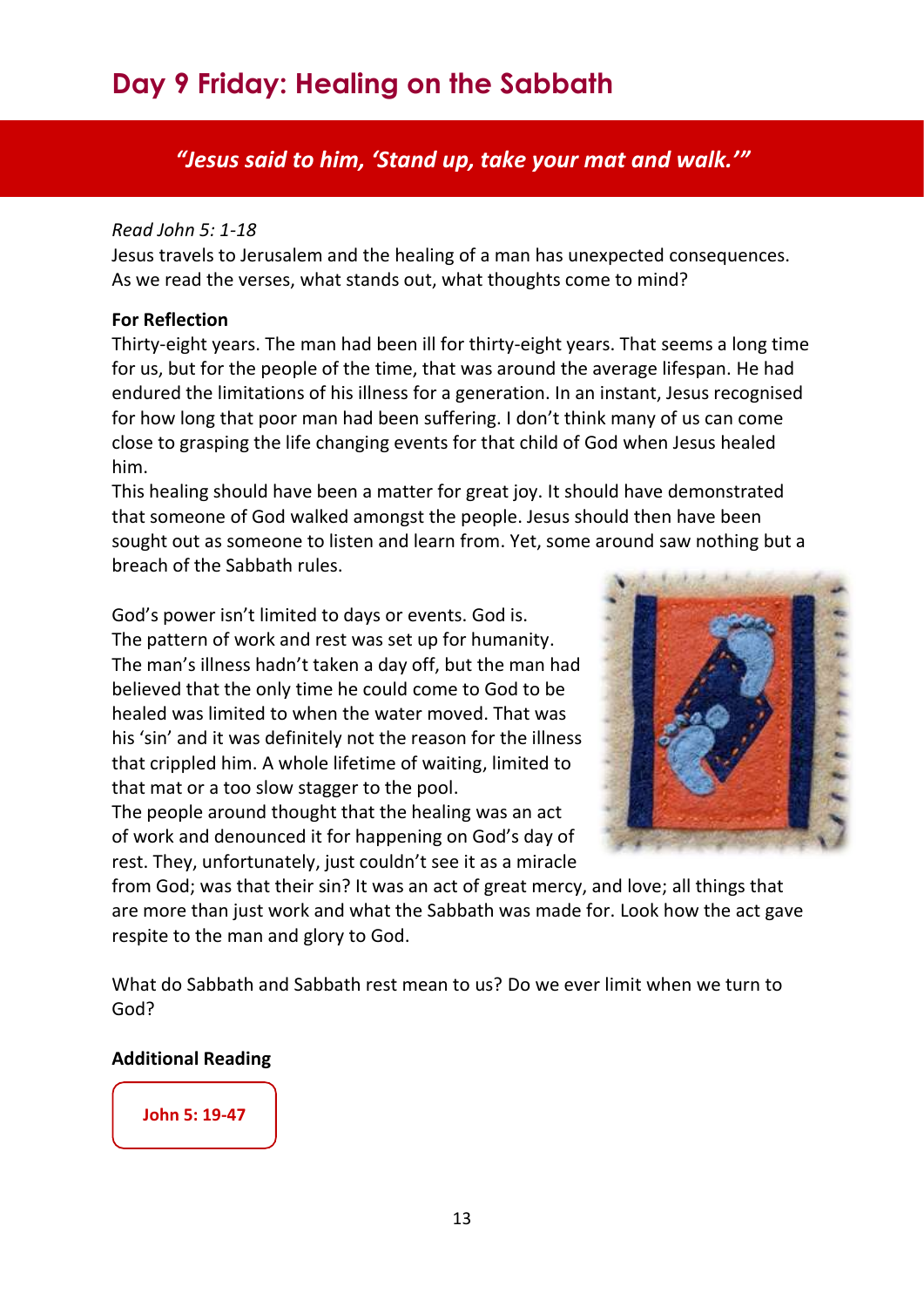# <span id="page-13-0"></span>**Day 9 Friday: Healing on the Sabbath**

### *"Jesus said to him, 'Stand up, take your mat and walk.'"*

#### *Read John 5: 1-18*

Jesus travels to Jerusalem and the healing of a man has unexpected consequences. As we read the verses, what stands out, what thoughts come to mind?

#### **For Reflection**

Thirty-eight years. The man had been ill for thirty-eight years. That seems a long time for us, but for the people of the time, that was around the average lifespan. He had endured the limitations of his illness for a generation. In an instant, Jesus recognised for how long that poor man had been suffering. I don't think many of us can come close to grasping the life changing events for that child of God when Jesus healed him.

This healing should have been a matter for great joy. It should have demonstrated that someone of God walked amongst the people. Jesus should then have been sought out as someone to listen and learn from. Yet, some around saw nothing but a breach of the Sabbath rules.

God's power isn't limited to days or events. God is. The pattern of work and rest was set up for humanity. The man's illness hadn't taken a day off, but the man had believed that the only time he could come to God to be healed was limited to when the water moved. That was his 'sin' and it was definitely not the reason for the illness that crippled him. A whole lifetime of waiting, limited to that mat or a too slow stagger to the pool.

The people around thought that the healing was an act of work and denounced it for happening on God's day of rest. They, unfortunately, just couldn't see it as a miracle



from God; was that their sin? It was an act of great mercy, and love; all things that are more than just work and what the Sabbath was made for. Look how the act gave respite to the man and glory to God.

What do Sabbath and Sabbath rest mean to us? Do we ever limit when we turn to God?

#### **Additional Reading**

### **[John 5: 19-47](https://www.biblegateway.com/passage/?search=John+5%3A19-47&version=NRSVA)**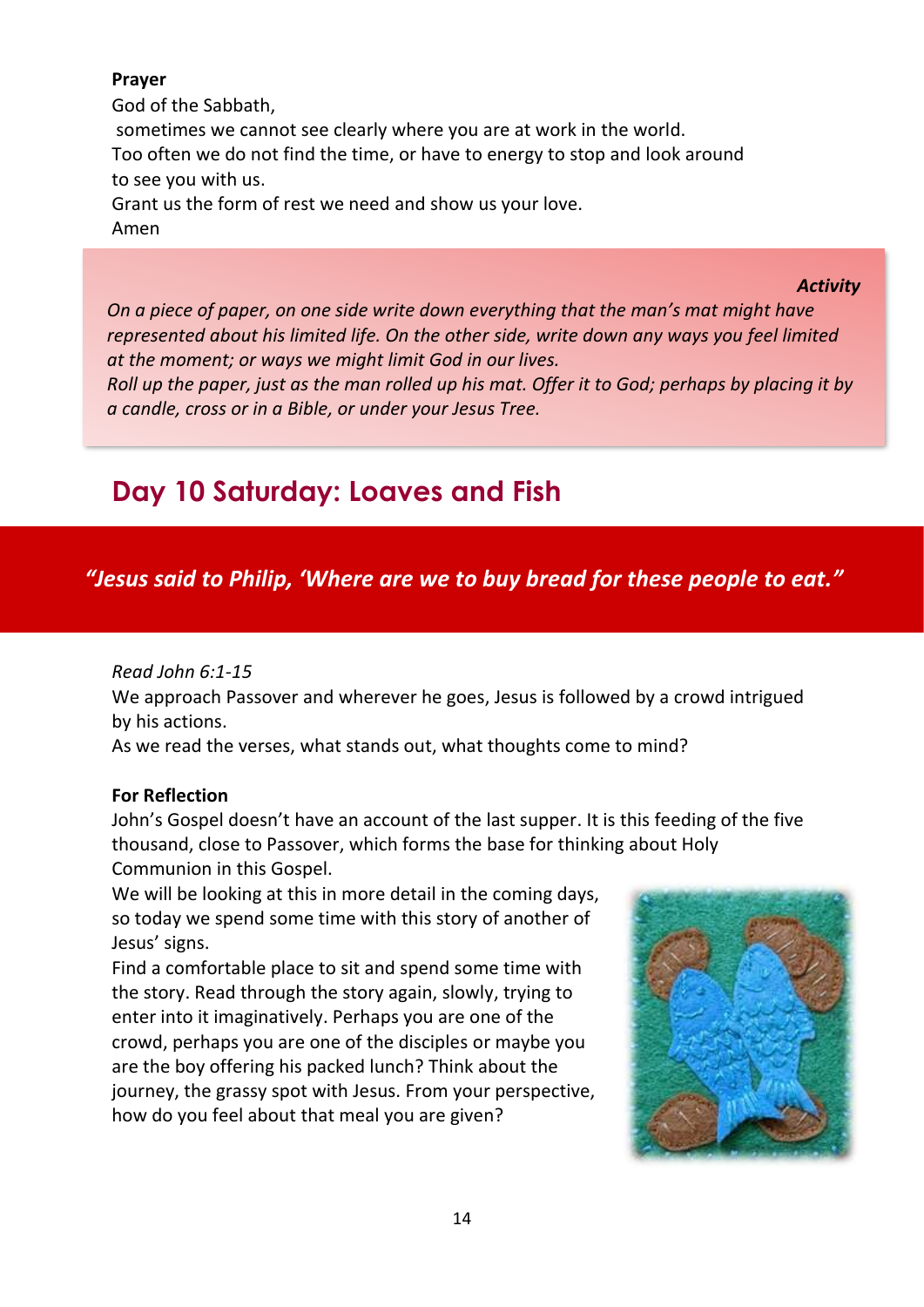#### **Prayer**

God of the Sabbath, sometimes we cannot see clearly where you are at work in the world. Too often we do not find the time, or have to energy to stop and look around to see you with us. Grant us the form of rest we need and show us your love. Amen

#### *Activity*

*On a piece of paper, on one side write down everything that the man's mat might have represented about his limited life. On the other side, write down any ways you feel limited at the moment; or ways we might limit God in our lives.*

*Roll up the paper, just as the man rolled up his mat. Offer it to God; perhaps by placing it by a candle, cross or in a Bible, or under your Jesus Tree.*

# <span id="page-14-0"></span>**Day 10 Saturday: Loaves and Fish**

### *"Jesus said to Philip, 'Where are we to buy bread for these people to eat."*

#### *Read John 6:1-15*

We approach Passover and wherever he goes, Jesus is followed by a crowd intrigued by his actions.

As we read the verses, what stands out, what thoughts come to mind?

#### **For Reflection**

John's Gospel doesn't have an account of the last supper. It is this feeding of the five thousand, close to Passover, which forms the base for thinking about Holy Communion in this Gospel.

We will be looking at this in more detail in the coming days, so today we spend some time with this story of another of Jesus' signs.

Find a comfortable place to sit and spend some time with the story. Read through the story again, slowly, trying to enter into it imaginatively. Perhaps you are one of the crowd, perhaps you are one of the disciples or maybe you are the boy offering his packed lunch? Think about the journey, the grassy spot with Jesus. From your perspective, how do you feel about that meal you are given?

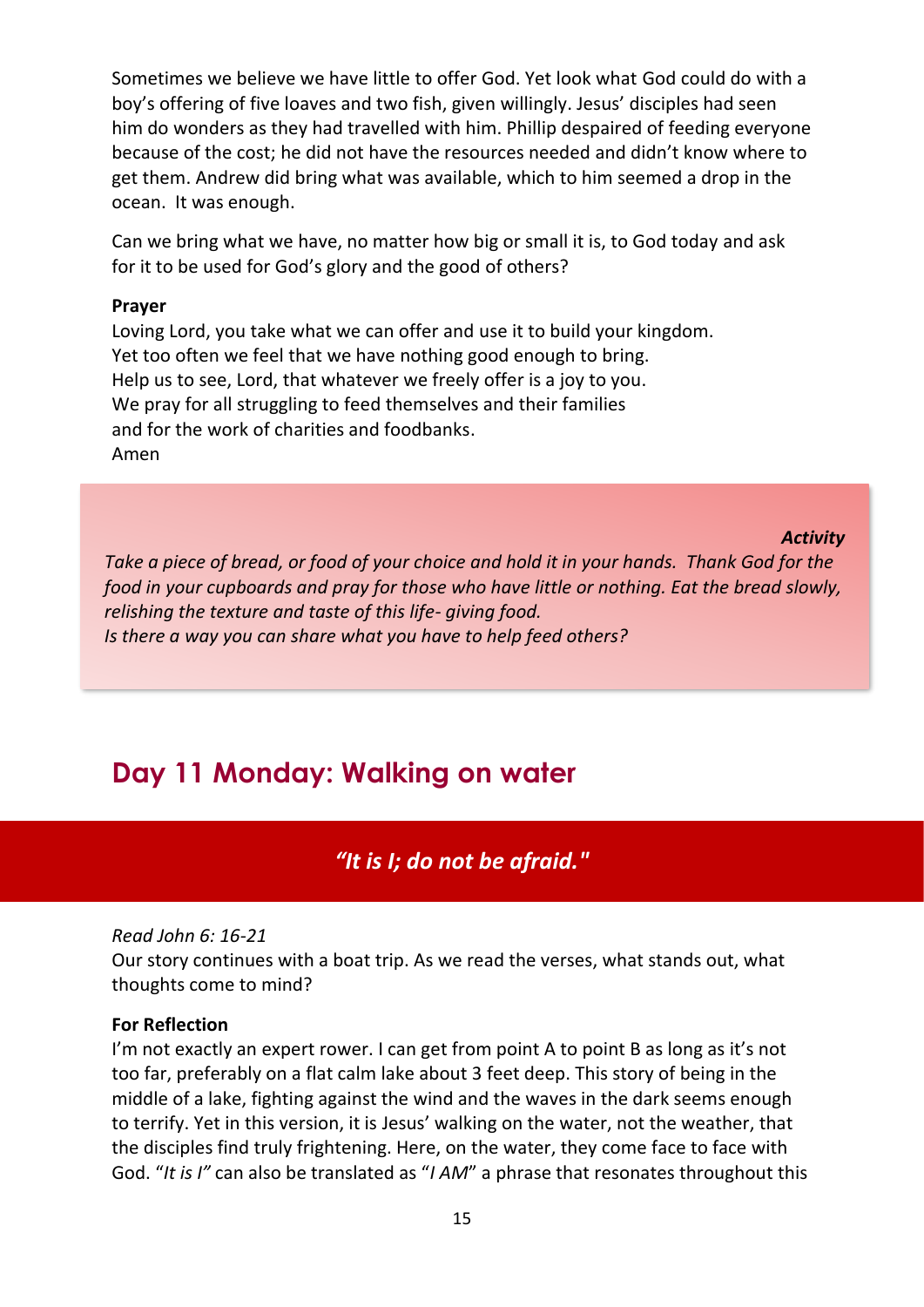Sometimes we believe we have little to offer God. Yet look what God could do with a boy's offering of five loaves and two fish, given willingly. Jesus' disciples had seen him do wonders as they had travelled with him. Phillip despaired of feeding everyone because of the cost; he did not have the resources needed and didn't know where to get them. Andrew did bring what was available, which to him seemed a drop in the ocean. It was enough.

Can we bring what we have, no matter how big or small it is, to God today and ask for it to be used for God's glory and the good of others?

#### **Prayer**

Loving Lord, you take what we can offer and use it to build your kingdom. Yet too often we feel that we have nothing good enough to bring. Help us to see, Lord, that whatever we freely offer is a joy to you. We pray for all struggling to feed themselves and their families and for the work of charities and foodbanks. Amen

#### *Activity*

*Take a piece of bread, or food of your choice and hold it in your hands. Thank God for the food in your cupboards and pray for those who have little or nothing. Eat the bread slowly, relishing the texture and taste of this life- giving food. Is there a way you can share what you have to help feed others?*

# <span id="page-15-0"></span>**Day 11 Monday: Walking on water**

*"It is I; do not be afraid."*

#### *Read John 6: 16-21*

Our story continues with a boat trip. As we read the verses, what stands out, what thoughts come to mind?

#### **For Reflection**

I'm not exactly an expert rower. I can get from point A to point B as long as it's not too far, preferably on a flat calm lake about 3 feet deep. This story of being in the middle of a lake, fighting against the wind and the waves in the dark seems enough to terrify. Yet in this version, it is Jesus' walking on the water, not the weather, that the disciples find truly frightening. Here, on the water, they come face to face with God. "*It is I"* can also be translated as "*I AM*" a phrase that resonates throughout this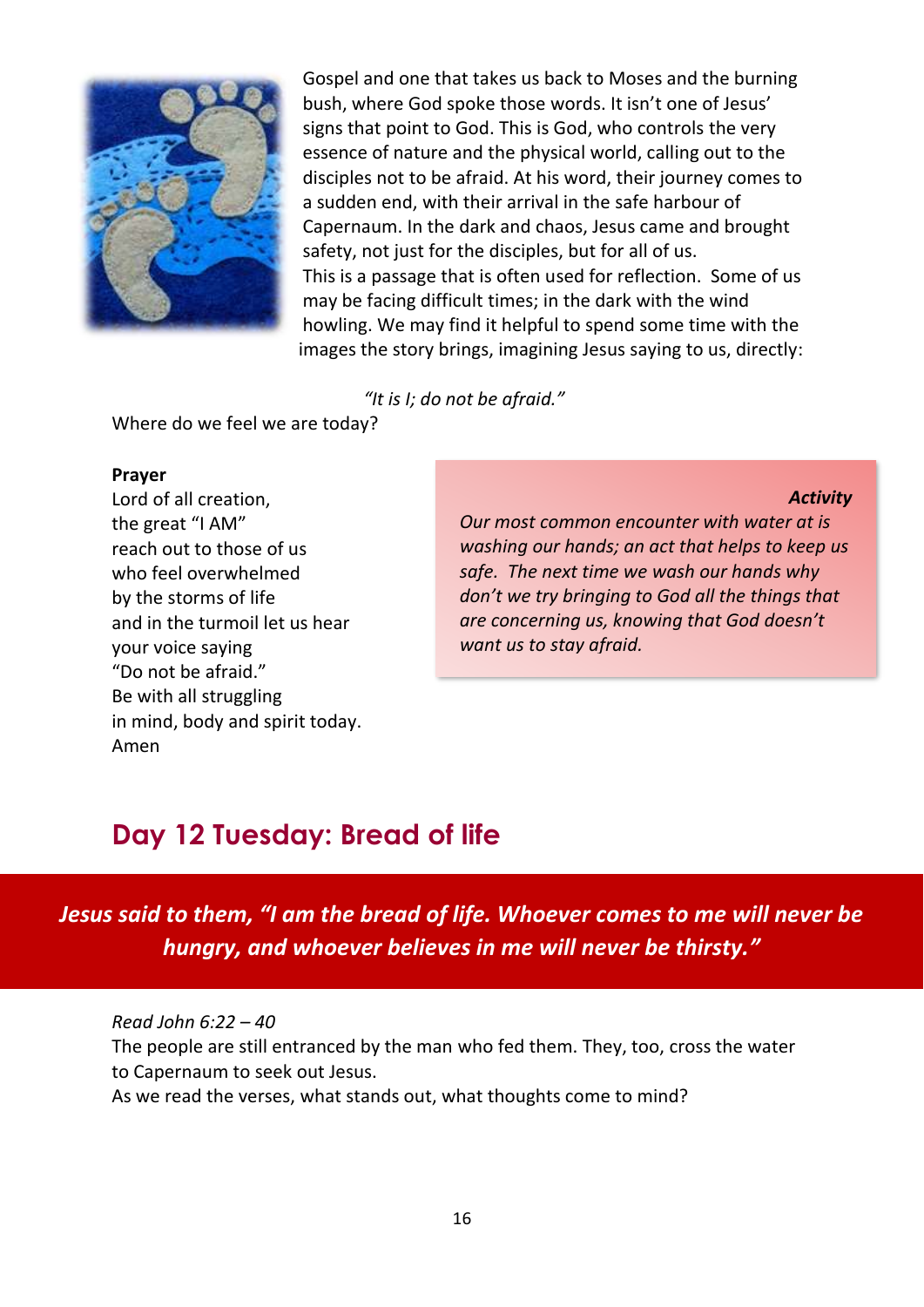

Gospel and one that takes us back to Moses and the burning bush, where God spoke those words. It isn't one of Jesus' signs that point to God. This is God, who controls the very essence of nature and the physical world, calling out to the disciples not to be afraid. At his word, their journey comes to a sudden end, with their arrival in the safe harbour of Capernaum. In the dark and chaos, Jesus came and brought safety, not just for the disciples, but for all of us. This is a passage that is often used for reflection. Some of us may be facing difficult times; in the dark with the wind howling. We may find it helpful to spend some time with the images the story brings, imagining Jesus saying to us, directly:

*"It is I; do not be afraid."*

Where do we feel we are today?

#### **Prayer**

Lord of all creation, the great "I AM" reach out to those of us who feel overwhelmed by the storms of life and in the turmoil let us hear your voice saying "Do not be afraid." Be with all struggling in mind, body and spirit today. Amen

#### *Activity*

*Our most common encounter with water at is washing our hands; an act that helps to keep us safe. The next time we wash our hands why don't we try bringing to God all the things that are concerning us, knowing that God doesn't want us to stay afraid.*

# <span id="page-16-0"></span>**Day 12 Tuesday: Bread of life**

*Jesus said to them, "I am the bread of life. Whoever comes to me will never be hungry, and whoever believes in me will never be thirsty."*

*Read John 6:22 – 40* The people are still entranced by the man who fed them. They, too, cross the water to Capernaum to seek out Jesus. As we read the verses, what stands out, what thoughts come to mind?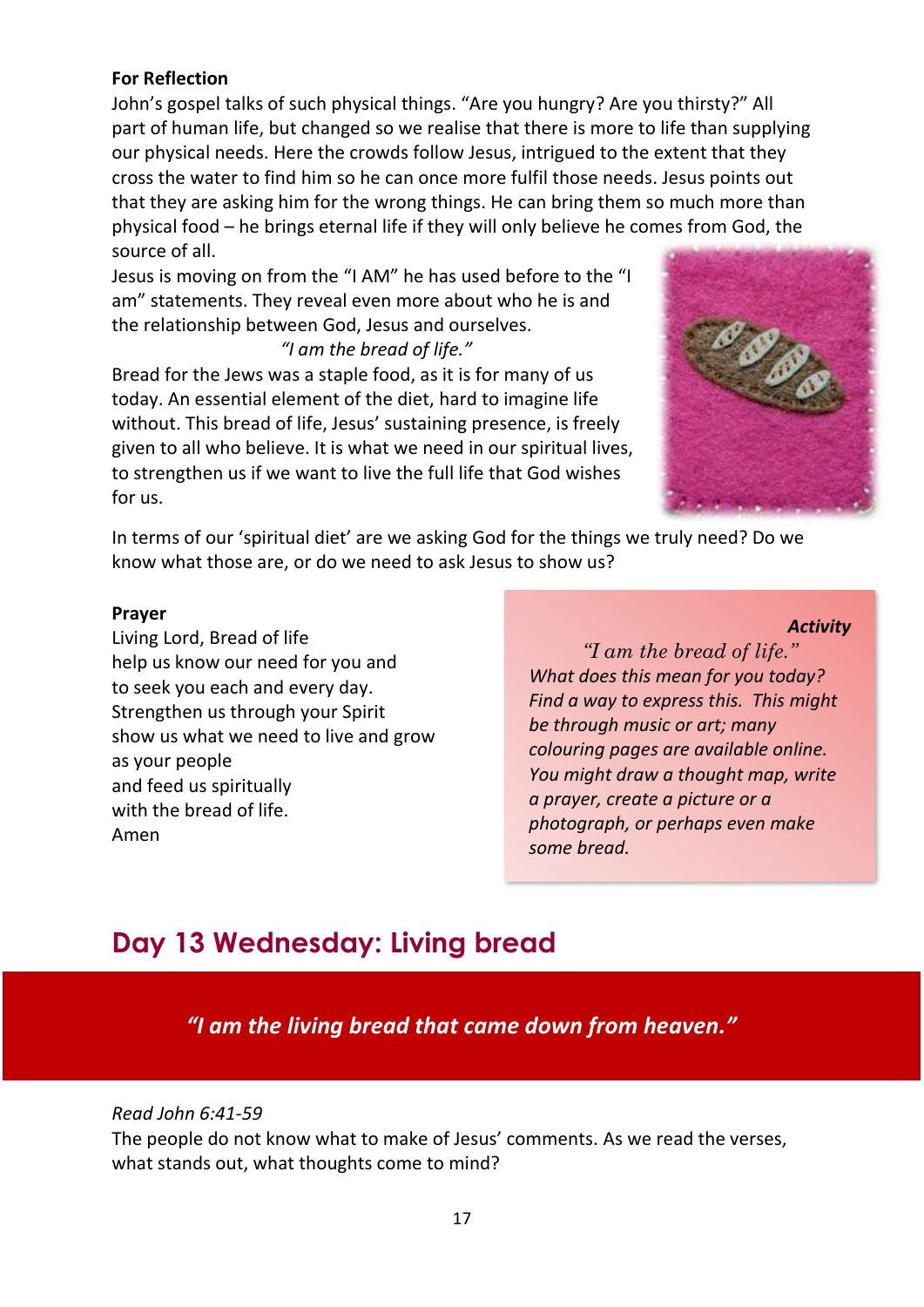#### **For Reflection**

John's gospel talks of such physical things. "Are you hungry? Are you thirsty?" All part of human life, but changed so we realise that there is more to life than supplying our physical needs. Here the crowds follow Jesus, intrigued to the extent that they cross the water to find him so he can once more fulfil those needs. Jesus points out that they are asking him for the wrong things. He can bring them so much more than physical food – he brings eternal life if they will only believe he comes from God, the source of all.

Jesus is moving on from the "I AM" he has used before to the "I am" statements. They reveal even more about who he is and the relationship between God, Jesus and ourselves. *"I am the bread of life."*

Bread for the Jews was a staple food, as it is for many of us today. An essential element of the diet, hard to imagine life without. This bread of life, Jesus' sustaining presence, is freely given to all who believe. It is what we need in our spiritual lives, to strengthen us if we want to live the full life that God wishes for us.



In terms of our 'spiritual diet' are we asking God for the things we truly need? Do we know what those are, or do we need to ask Jesus to show us?

#### **Prayer**

Living Lord, Bread of life help us know our need for you and to seek you each and every day. Strengthen us through your Spirit show us what we need to live and grow as your people and feed us spiritually with the bread of life. Amen

#### *Activity*

*"I am the bread of life." What does this mean for you today? Find a way to express this. This might be through music or art; many colouring pages are available online. You might draw a thought map, write a prayer, create a picture or a photograph, or perhaps even make some bread.* 

### <span id="page-17-0"></span>**Day 13 Wednesday: Living bread**

*"I am the living bread that came down from heaven."* 

#### *Read John 6:41-59*

The people do not know what to make of Jesus' comments. As we read the verses, what stands out, what thoughts come to mind?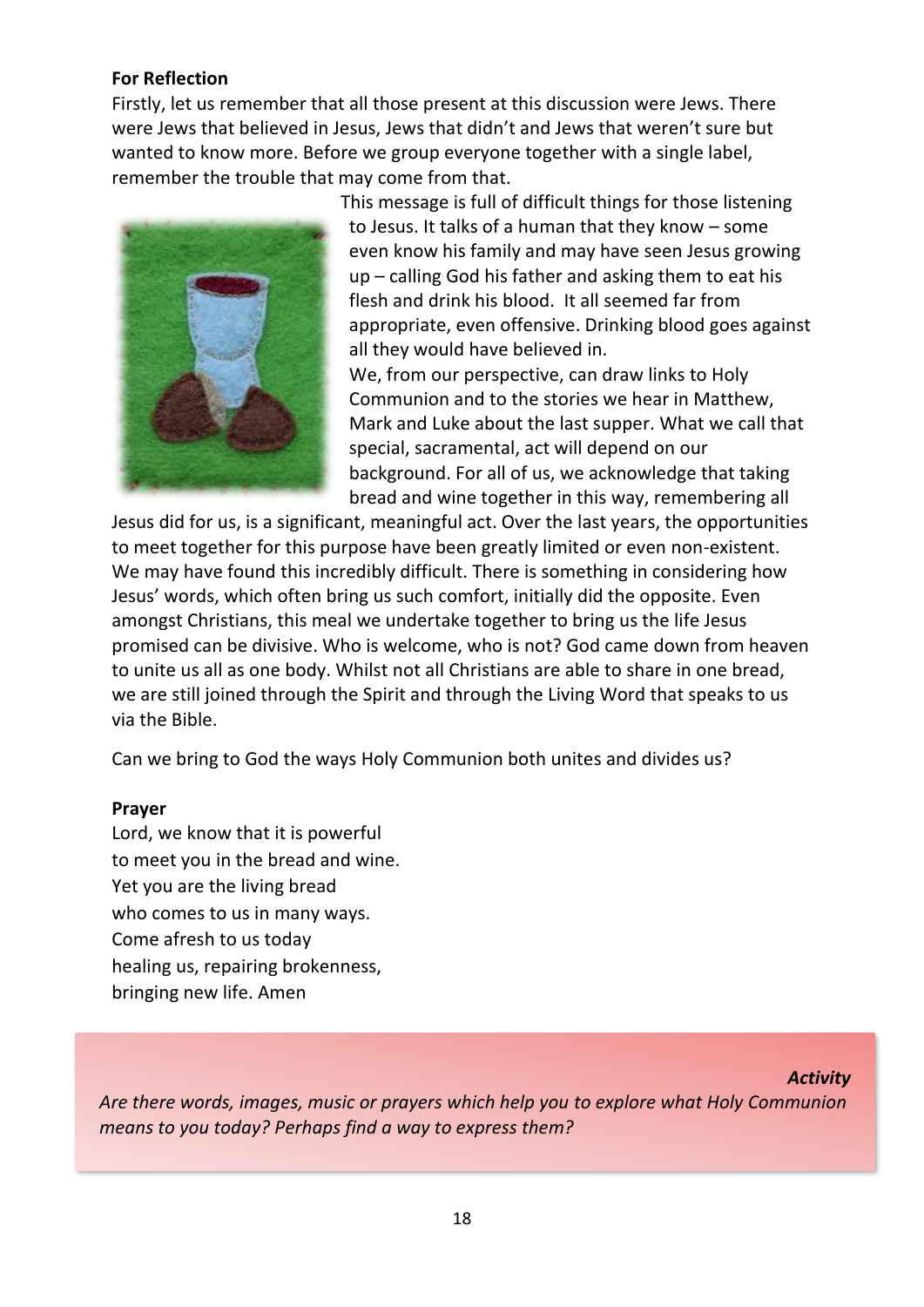#### **For Reflection**

Firstly, let us remember that all those present at this discussion were Jews. There were Jews that believed in Jesus, Jews that didn't and Jews that weren't sure but wanted to know more. Before we group everyone together with a single label, remember the trouble that may come from that.



This message is full of difficult things for those listening to Jesus. It talks of a human that they know – some even know his family and may have seen Jesus growing up – calling God his father and asking them to eat his flesh and drink his blood. It all seemed far from appropriate, even offensive. Drinking blood goes against all they would have believed in.

We, from our perspective, can draw links to Holy Communion and to the stories we hear in Matthew, Mark and Luke about the last supper. What we call that special, sacramental, act will depend on our background. For all of us, we acknowledge that taking bread and wine together in this way, remembering all

Jesus did for us, is a significant, meaningful act. Over the last years, the opportunities to meet together for this purpose have been greatly limited or even non-existent. We may have found this incredibly difficult. There is something in considering how Jesus' words, which often bring us such comfort, initially did the opposite. Even amongst Christians, this meal we undertake together to bring us the life Jesus promised can be divisive. Who is welcome, who is not? God came down from heaven to unite us all as one body. Whilst not all Christians are able to share in one bread, we are still joined through the Spirit and through the Living Word that speaks to us via the Bible.

Can we bring to God the ways Holy Communion both unites and divides us?

#### **Prayer**

Lord, we know that it is powerful to meet you in the bread and wine. Yet you are the living bread who comes to us in many ways. Come afresh to us today healing us, repairing brokenness, bringing new life. Amen

#### *Activity*

*Are there words, images, music or prayers which help you to explore what Holy Communion means to you today? Perhaps find a way to express them?*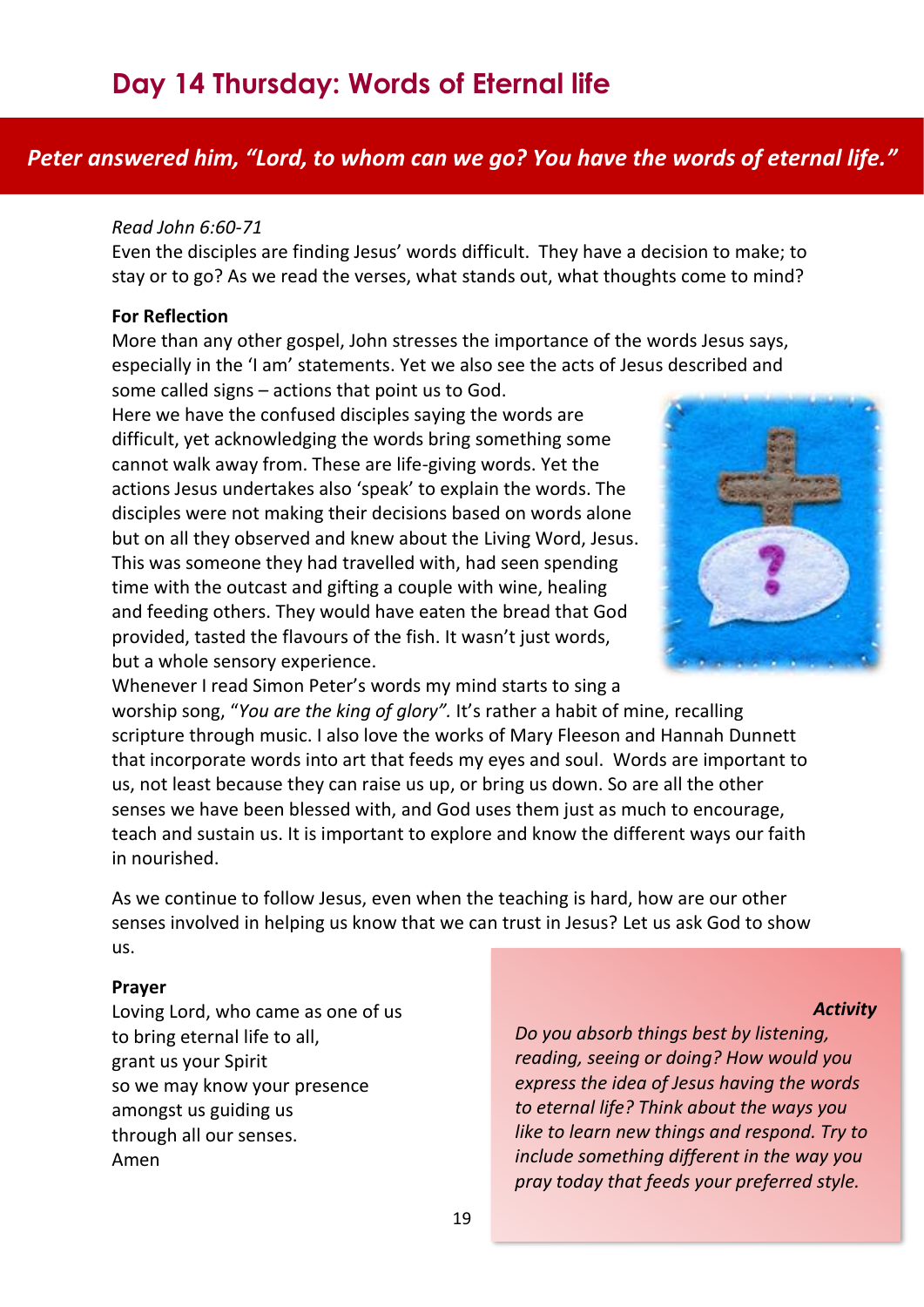### <span id="page-19-0"></span>*Peter answered him, "Lord, to whom can we go? You have the words of eternal life."*

#### *Read John 6:60-71*

Even the disciples are finding Jesus' words difficult. They have a decision to make; to stay or to go? As we read the verses, what stands out, what thoughts come to mind?

#### **For Reflection**

More than any other gospel, John stresses the importance of the words Jesus says, especially in the 'I am' statements. Yet we also see the acts of Jesus described and

some called signs – actions that point us to God. Here we have the confused disciples saying the words are difficult, yet acknowledging the words bring something some cannot walk away from. These are life-giving words. Yet the actions Jesus undertakes also 'speak' to explain the words. The disciples were not making their decisions based on words alone but on all they observed and knew about the Living Word, Jesus. This was someone they had travelled with, had seen spending

time with the outcast and gifting a couple with wine, healing and feeding others. They would have eaten the bread that God provided, tasted the flavours of the fish. It wasn't just words, but a whole sensory experience.



Whenever I read Simon Peter's words my mind starts to sing a worship song, "*[You are the king of](https://www.youtube.com/watch?v=MiXfvEA_Ysg) glory".* It's rather a habit of mine, recalling scripture through music. I also love the works of Mary Fleeson and Hannah Dunnett that incorporate words into art that feeds my eyes and soul. Words are important to us, not least because they can raise us up, or bring us down. So are all the other senses we have been blessed with, and God uses them just as much to encourage, teach and sustain us. It is important to explore and know the different ways our faith in nourished.

As we continue to follow Jesus, even when the teaching is hard, how are our other senses involved in helping us know that we can trust in Jesus? Let us ask God to show us.

#### **Prayer**

Loving Lord, who came as one of us to bring eternal life to all, grant us your Spirit so we may know your presence amongst us guiding us through all our senses. Amen

#### *Activity*

*Do you absorb things best by listening, reading, seeing or doing? How would you express the idea of Jesus having the words to eternal life? Think about the ways you like to learn new things and respond. Try to include something different in the way you pray today that feeds your preferred style.*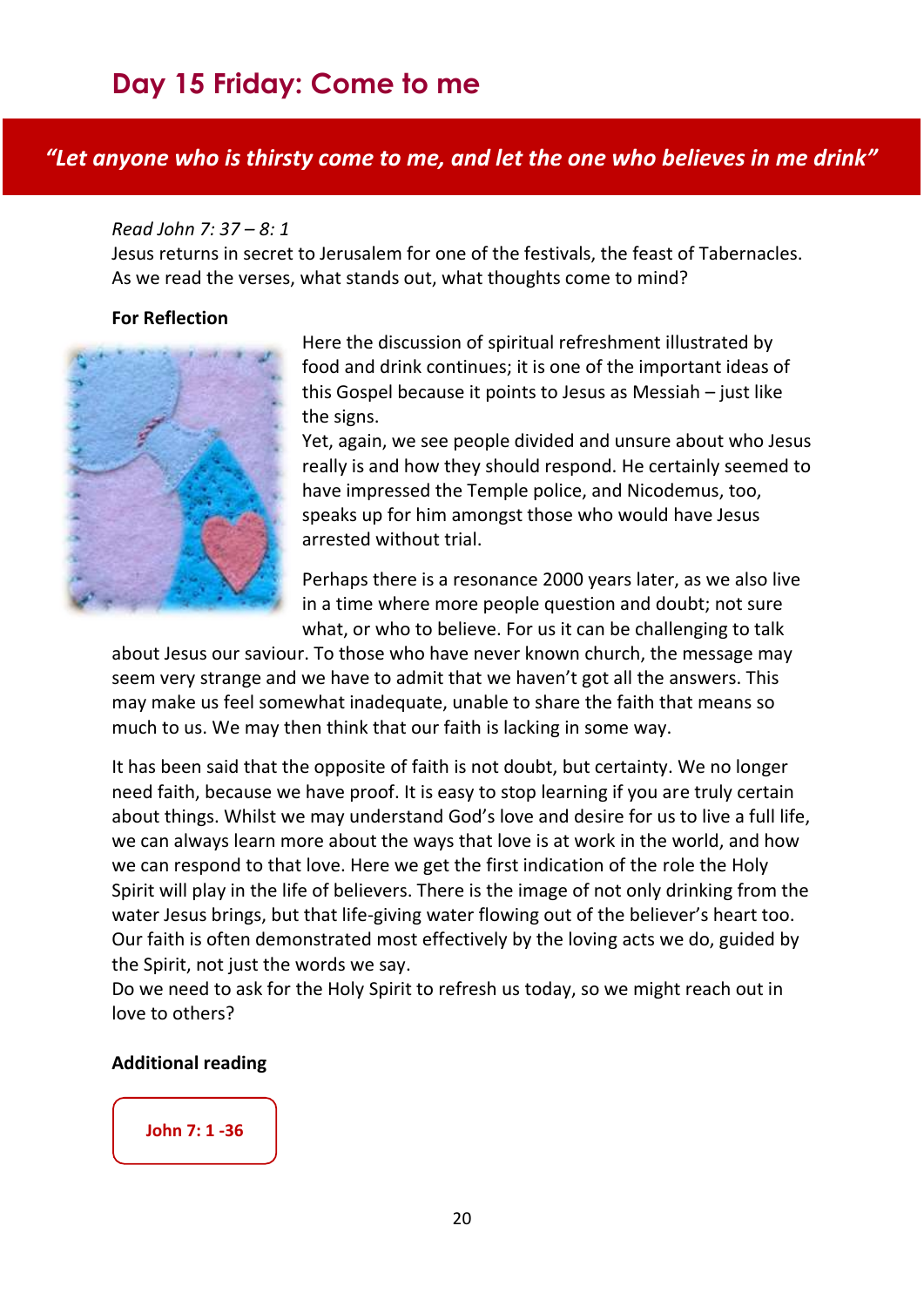# <span id="page-20-0"></span>**Day 15 Friday: Come to me**

#### *"Let anyone who is thirsty come to me, and let the one who believes in me drink"*

#### *Read John 7: 37 – 8: 1*

Jesus returns in secret to Jerusalem for one of the festivals, the feast of Tabernacles. As we read the verses, what stands out, what thoughts come to mind?

#### **For Reflection**



Here the discussion of spiritual refreshment illustrated by food and drink continues; it is one of the important ideas of this Gospel because it points to Jesus as Messiah – just like the signs.

Yet, again, we see people divided and unsure about who Jesus really is and how they should respond. He certainly seemed to have impressed the Temple police, and Nicodemus, too, speaks up for him amongst those who would have Jesus arrested without trial.

Perhaps there is a resonance 2000 years later, as we also live in a time where more people question and doubt; not sure what, or who to believe. For us it can be challenging to talk

about Jesus our saviour. To those who have never known church, the message may seem very strange and we have to admit that we haven't got all the answers. This may make us feel somewhat inadequate, unable to share the faith that means so much to us. We may then think that our faith is lacking in some way.

It has been said that the opposite of faith is not doubt, but certainty. We no longer need faith, because we have proof. It is easy to stop learning if you are truly certain about things. Whilst we may understand God's love and desire for us to live a full life, we can always learn more about the ways that love is at work in the world, and how we can respond to that love. Here we get the first indication of the role the Holy Spirit will play in the life of believers. There is the image of not only drinking from the water Jesus brings, but that life-giving water flowing out of the believer's heart too. Our faith is often demonstrated most effectively by the loving acts we do, guided by the Spirit, not just the words we say.

Do we need to ask for the Holy Spirit to refresh us today, so we might reach out in love to others?

#### **Additional reading**

#### **[John 7: 1 -36](https://www.biblegateway.com/passage/?search=John%207.1-36&version=NRSV)**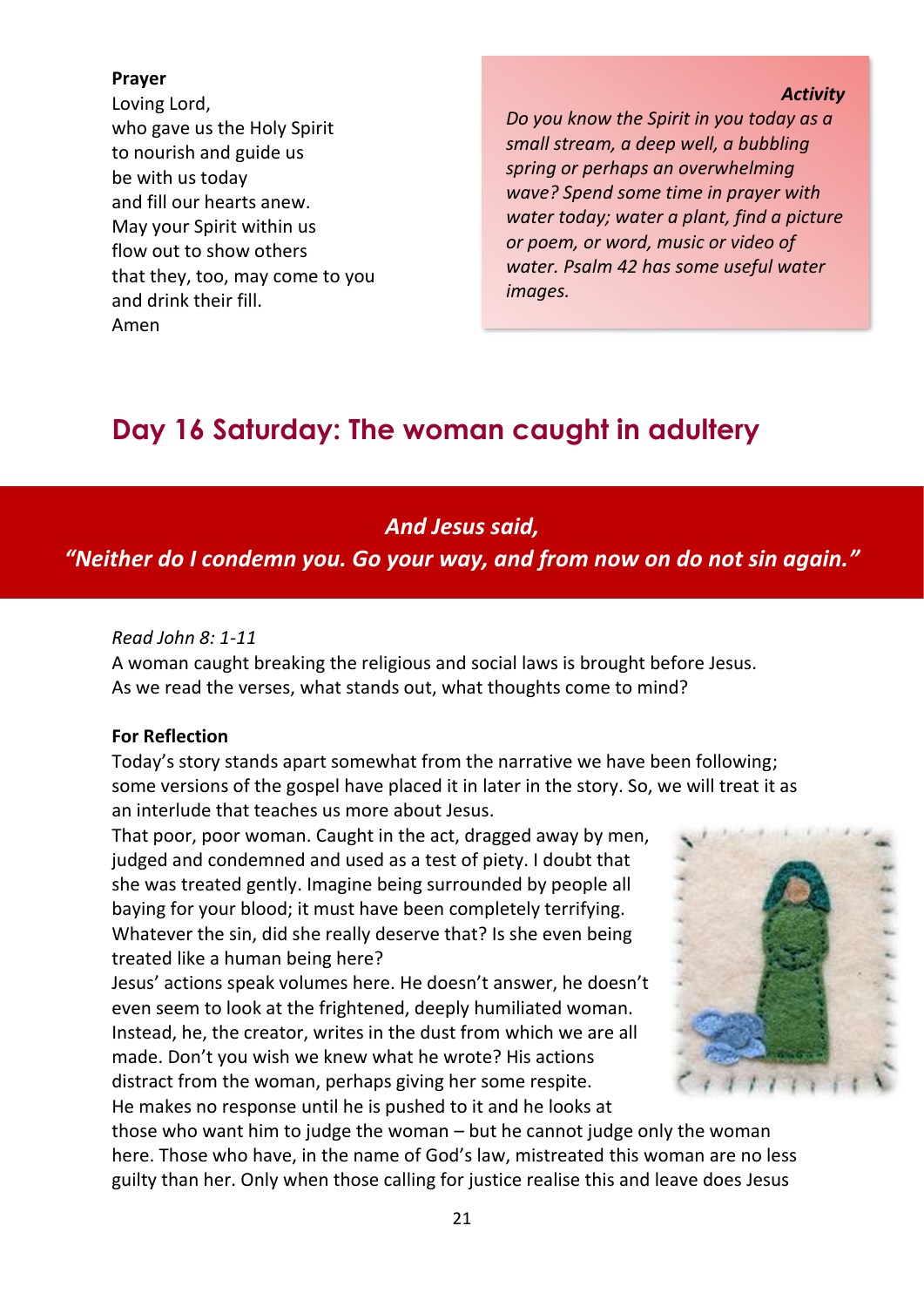#### **Prayer**

Loving Lord, who gave us the Holy Spirit to nourish and guide us be with us today and fill our hearts anew. May your Spirit within us flow out to show others that they, too, may come to you and drink their fill. Amen

#### *Activity*

*Do you know the Spirit in you today as a small stream, a deep well, a bubbling spring or perhaps an overwhelming wave? Spend some time in prayer with water today; water a plant, find a picture or poem, or word, music or video of water. Psalm 42 has some useful water images.*

# <span id="page-21-0"></span>**Day 16 Saturday: The woman caught in adultery**

### *And Jesus said,*

*"Neither do I condemn you. Go your way, and from now on do not sin again."*

#### *Read John 8: 1-11*

A woman caught breaking the religious and social laws is brought before Jesus. As we read the verses, what stands out, what thoughts come to mind?

#### **For Reflection**

Today's story stands apart somewhat from the narrative we have been following; some versions of the gospel have placed it in later in the story. So, we will treat it as an interlude that teaches us more about Jesus.

That poor, poor woman. Caught in the act, dragged away by men, judged and condemned and used as a test of piety. I doubt that she was treated gently. Imagine being surrounded by people all baying for your blood; it must have been completely terrifying. Whatever the sin, did she really deserve that? Is she even being treated like a human being here?

Jesus' actions speak volumes here. He doesn't answer, he doesn't even seem to look at the frightened, deeply humiliated woman. Instead, he, the creator, writes in the dust from which we are all made. Don't you wish we knew what he wrote? His actions distract from the woman, perhaps giving her some respite. He makes no response until he is pushed to it and he looks at



those who want him to judge the woman – but he cannot judge only the woman here. Those who have, in the name of God's law, mistreated this woman are no less guilty than her. Only when those calling for justice realise this and leave does Jesus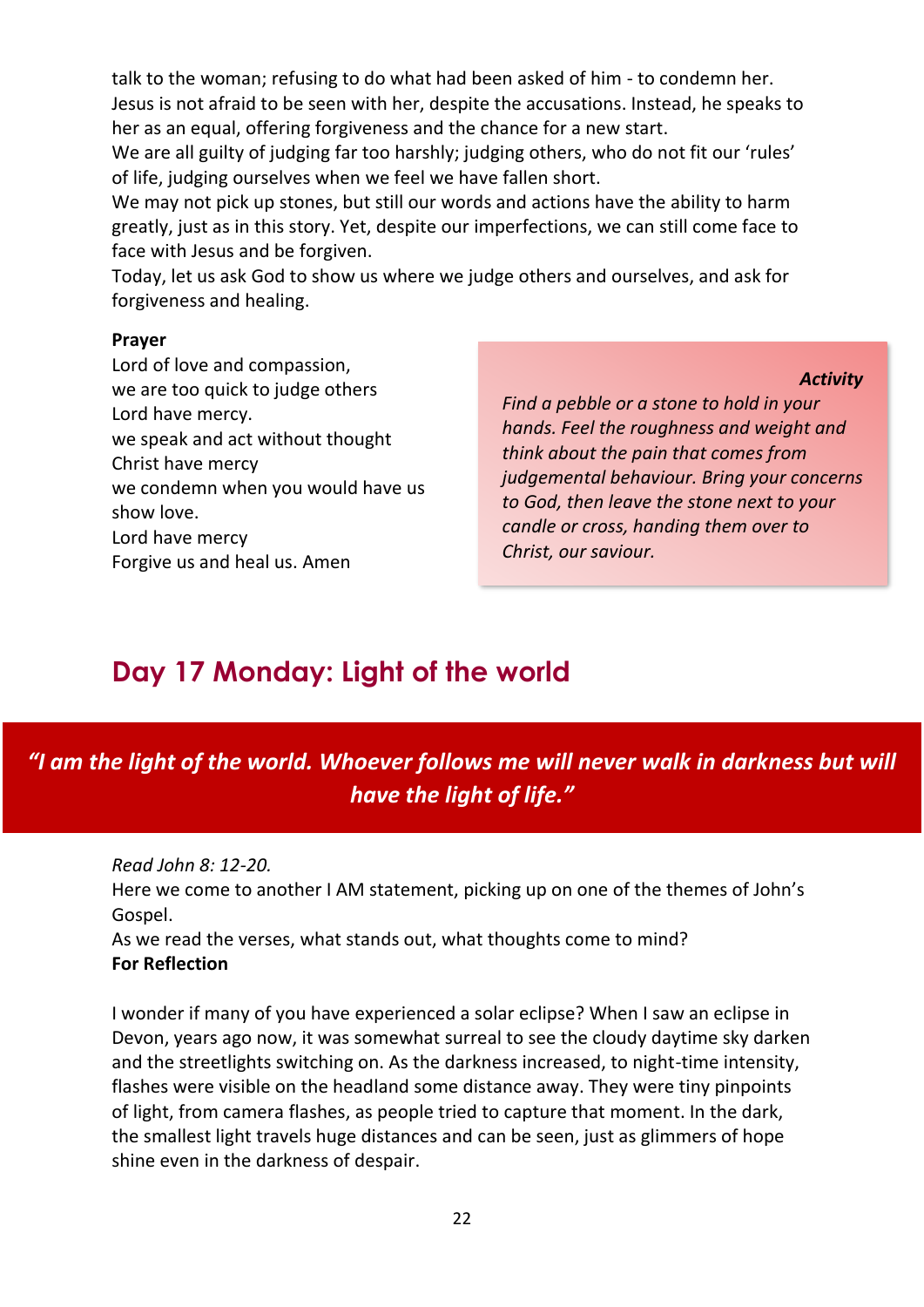talk to the woman; refusing to do what had been asked of him - to condemn her. Jesus is not afraid to be seen with her, despite the accusations. Instead, he speaks to her as an equal, offering forgiveness and the chance for a new start.

We are all guilty of judging far too harshly; judging others, who do not fit our 'rules' of life, judging ourselves when we feel we have fallen short.

We may not pick up stones, but still our words and actions have the ability to harm greatly, just as in this story. Yet, despite our imperfections, we can still come face to face with Jesus and be forgiven.

Today, let us ask God to show us where we judge others and ourselves, and ask for forgiveness and healing.

#### **Prayer**

Lord of love and compassion, we are too quick to judge others Lord have mercy. we speak and act without thought Christ have mercy we condemn when you would have us show love. Lord have mercy Forgive us and heal us. Amen

*Activity*

*Find a pebble or a stone to hold in your hands. Feel the roughness and weight and think about the pain that comes from judgemental behaviour. Bring your concerns to God, then leave the stone next to your candle or cross, handing them over to Christ, our saviour.*

# <span id="page-22-0"></span>**Day 17 Monday: Light of the world**

*"I am the light of the world. Whoever follows me will never walk in darkness but will have the light of life."*

*Read John 8: 12-20.* 

Here we come to another I AM statement, picking up on one of the themes of John's Gospel.

As we read the verses, what stands out, what thoughts come to mind? **For Reflection**

I wonder if many of you have experienced a solar eclipse? When I saw an eclipse in Devon, years ago now, it was somewhat surreal to see the cloudy daytime sky darken and the streetlights switching on. As the darkness increased, to night-time intensity, flashes were visible on the headland some distance away. They were tiny pinpoints of light, from camera flashes, as people tried to capture that moment. In the dark, the smallest light travels huge distances and can be seen, just as glimmers of hope shine even in the darkness of despair.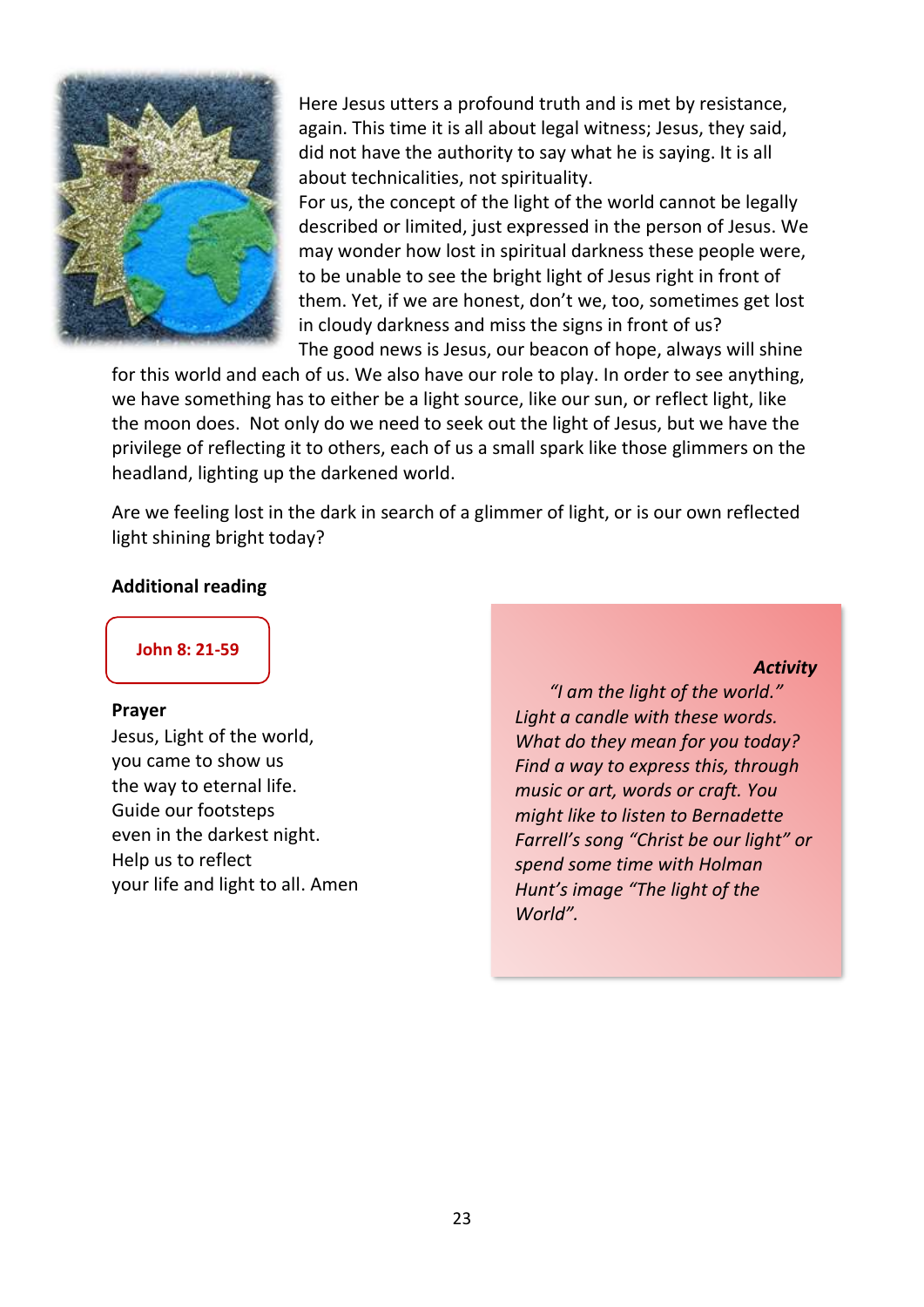

Here Jesus utters a profound truth and is met by resistance, again. This time it is all about legal witness; Jesus, they said, did not have the authority to say what he is saying. It is all about technicalities, not spirituality.

For us, the concept of the light of the world cannot be legally described or limited, just expressed in the person of Jesus. We may wonder how lost in spiritual darkness these people were, to be unable to see the bright light of Jesus right in front of them. Yet, if we are honest, don't we, too, sometimes get lost in cloudy darkness and miss the signs in front of us? The good news is Jesus, our beacon of hope, always will shine

for this world and each of us. We also have our role to play. In order to see anything, we have something has to either be a light source, like our sun, or reflect light, like the moon does. Not only do we need to seek out the light of Jesus, but we have the privilege of reflecting it to others, each of us a small spark like those glimmers on the headland, lighting up the darkened world.

Are we feeling lost in the dark in search of a glimmer of light, or is our own reflected light shining bright today?

#### **Additional reading**

**[John 8: 21-59](https://www.biblegateway.com/passage/?search=John+8%3A+21-59&version=NRSV)**

#### **Prayer**

Jesus, Light of the world, you came to show us the way to eternal life. Guide our footsteps even in the darkest night. Help us to reflect your life and light to all. Amen

#### *Activity*

*"I am the light of the world." Light a candle with these words. What do they mean for you today? Find a way to express this, through music or art, words or craft. You might like to listen to Bernadette Farrell's song "Christ be our light" or spend some time with Holman Hunt's image "The light of the World".*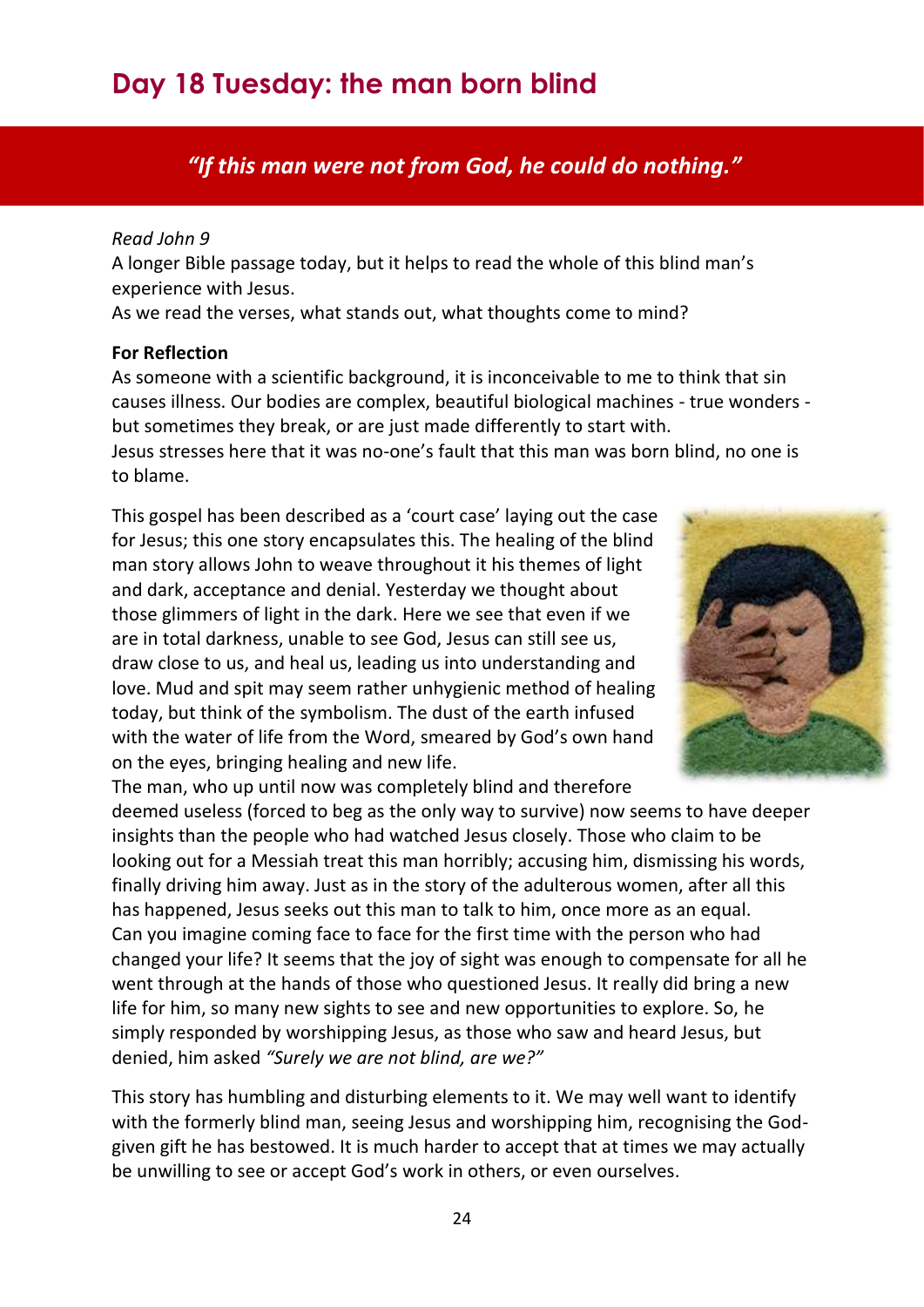# <span id="page-24-0"></span>**Day 18 Tuesday: the man born blind**

### *"If this man were not from God, he could do nothing."*

#### *Read John 9*

A longer Bible passage today, but it helps to read the whole of this blind man's experience with Jesus.

As we read the verses, what stands out, what thoughts come to mind?

#### **For Reflection**

As someone with a scientific background, it is inconceivable to me to think that sin causes illness. Our bodies are complex, beautiful biological machines - true wonders but sometimes they break, or are just made differently to start with.

Jesus stresses here that it was no-one's fault that this man was born blind, no one is to blame.

This gospel has been described as a 'court case' laying out the case for Jesus; this one story encapsulates this. The healing of the blind man story allows John to weave throughout it his themes of light and dark, acceptance and denial. Yesterday we thought about those glimmers of light in the dark. Here we see that even if we are in total darkness, unable to see God, Jesus can still see us, draw close to us, and heal us, leading us into understanding and love. Mud and spit may seem rather unhygienic method of healing today, but think of the symbolism. The dust of the earth infused with the water of life from the Word, smeared by God's own hand on the eyes, bringing healing and new life.



The man, who up until now was completely blind and therefore deemed useless (forced to beg as the only way to survive) now seems to have deeper insights than the people who had watched Jesus closely. Those who claim to be looking out for a Messiah treat this man horribly; accusing him, dismissing his words, finally driving him away. Just as in the story of the adulterous women, after all this has happened, Jesus seeks out this man to talk to him, once more as an equal. Can you imagine coming face to face for the first time with the person who had changed your life? It seems that the joy of sight was enough to compensate for all he went through at the hands of those who questioned Jesus. It really did bring a new life for him, so many new sights to see and new opportunities to explore. So, he simply responded by worshipping Jesus, as those who saw and heard Jesus, but denied, him asked *"Surely we are not blind, are we?"*

This story has humbling and disturbing elements to it. We may well want to identify with the formerly blind man, seeing Jesus and worshipping him, recognising the Godgiven gift he has bestowed. It is much harder to accept that at times we may actually be unwilling to see or accept God's work in others, or even ourselves.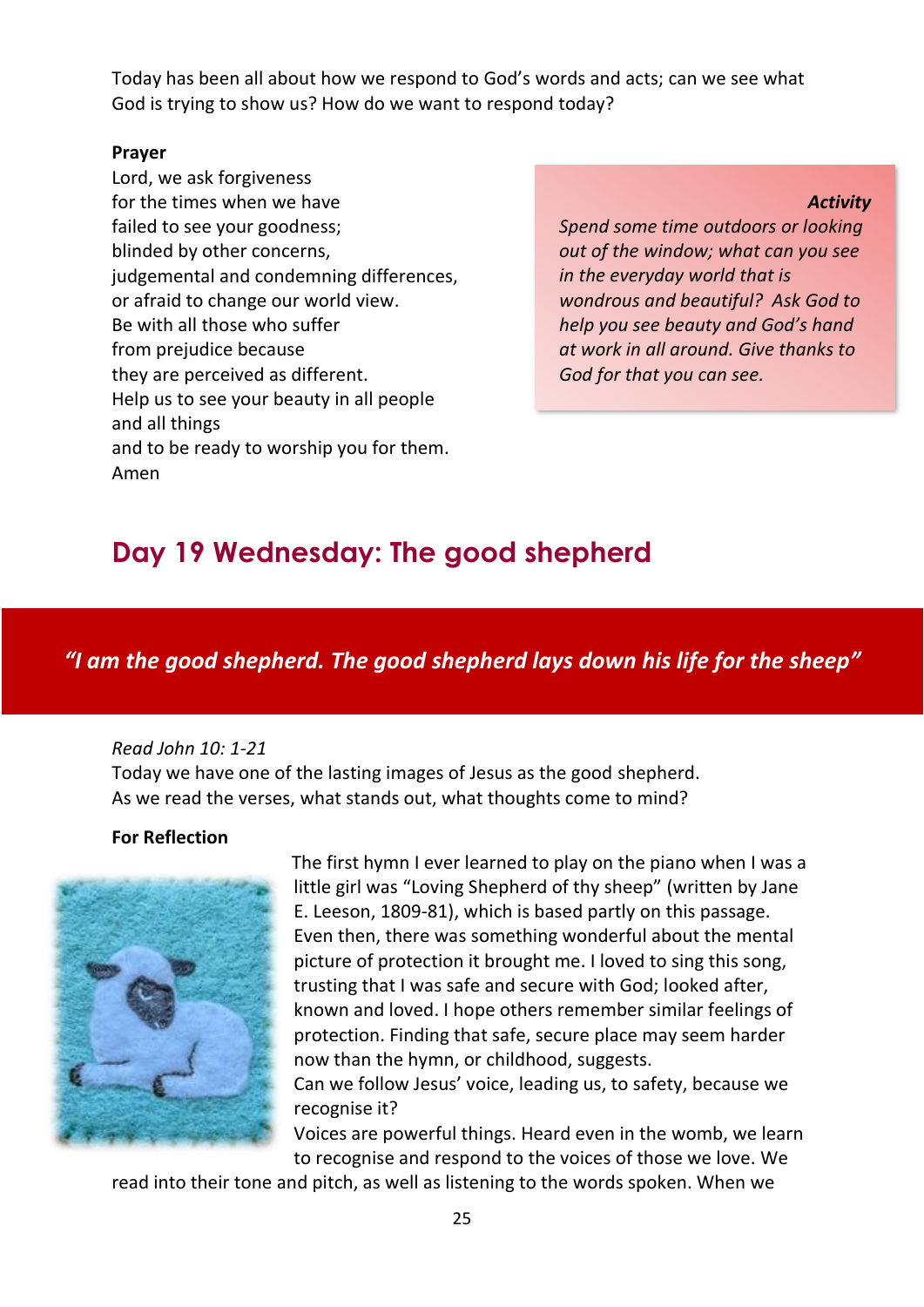Today has been all about how we respond to God's words and acts; can we see what God is trying to show us? How do we want to respond today?

#### **Prayer**

Lord, we ask forgiveness for the times when we have failed to see your goodness; blinded by other concerns, judgemental and condemning differences, or afraid to change our world view. Be with all those who suffer from prejudice because they are perceived as different. Help us to see your beauty in all people and all things and to be ready to worship you for them. Amen

#### *Activity*

*Spend some time outdoors or looking out of the window; what can you see in the everyday world that is wondrous and beautiful? Ask God to help you see beauty and God's hand at work in all around. Give thanks to God for that you can see.*

# <span id="page-25-0"></span>**Day 19 Wednesday: The good shepherd**

### *"I am the good shepherd. The good shepherd lays down his life for the sheep"*

#### *Read John 10: 1-21*

Today we have one of the lasting images of Jesus as the good shepherd. As we read the verses, what stands out, what thoughts come to mind?

#### **For Reflection**



The first hymn I ever learned to play on the piano when I was a little girl was "Loving Shepherd of thy sheep" (written by Jane E. Leeson, 1809-81), which is based partly on this passage. Even then, there was something wonderful about the mental picture of protection it brought me. I loved to sing this song, trusting that I was safe and secure with God; looked after, known and loved. I hope others remember similar feelings of protection. Finding that safe, secure place may seem harder now than the hymn, or childhood, suggests. Can we follow Jesus' voice, leading us, to safety, because we

recognise it? Voices are powerful things. Heard even in the womb, we learn to recognise and respond to the voices of those we love. We

read into their tone and pitch, as well as listening to the words spoken. When we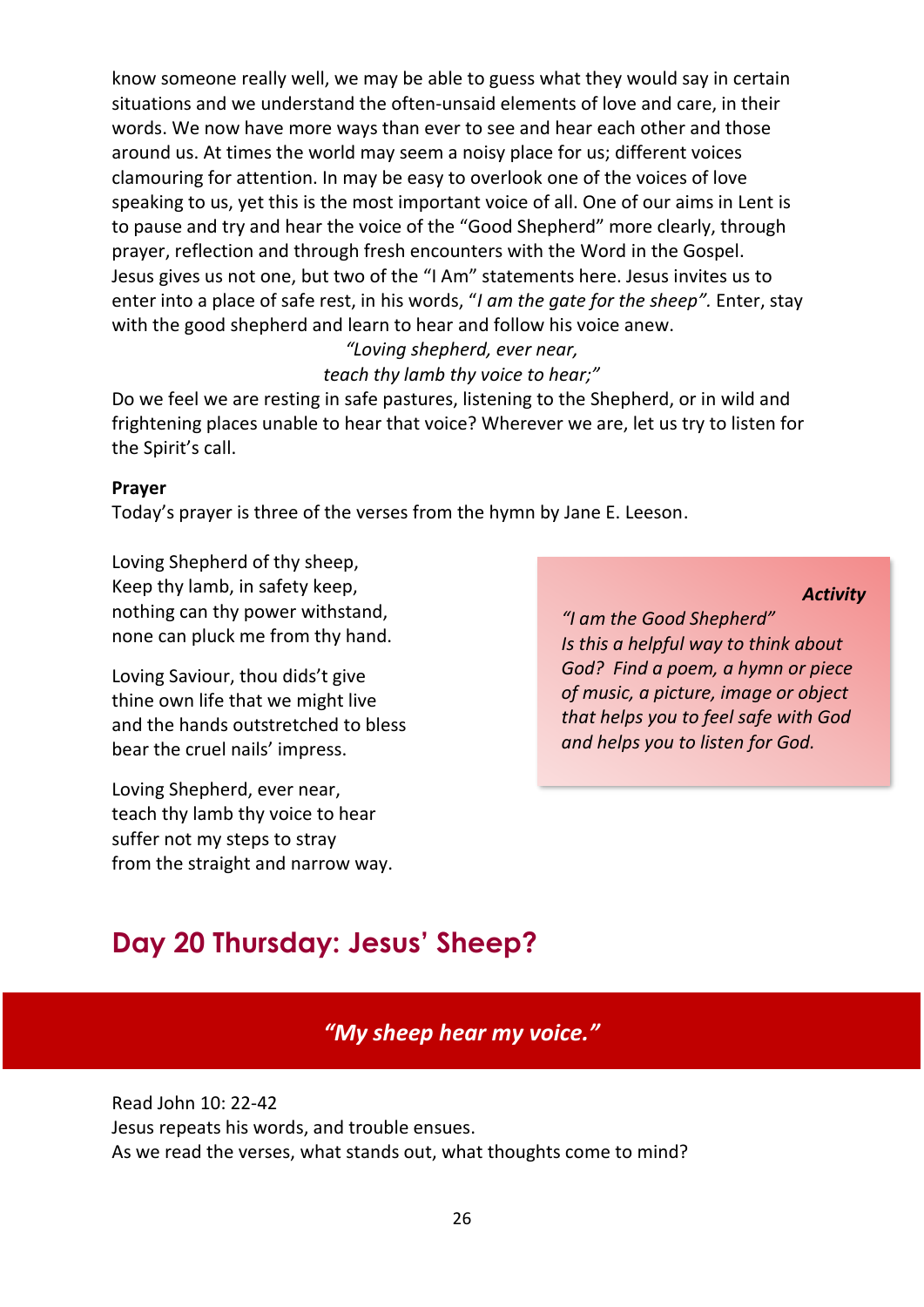know someone really well, we may be able to guess what they would say in certain situations and we understand the often-unsaid elements of love and care, in their words. We now have more ways than ever to see and hear each other and those around us. At times the world may seem a noisy place for us; different voices clamouring for attention. In may be easy to overlook one of the voices of love speaking to us, yet this is the most important voice of all. One of our aims in Lent is to pause and try and hear the voice of the "Good Shepherd" more clearly, through prayer, reflection and through fresh encounters with the Word in the Gospel. Jesus gives us not one, but two of the "I Am" statements here. Jesus invites us to enter into a place of safe rest, in his words, "*I am the gate for the sheep".* Enter, stay with the good shepherd and learn to hear and follow his voice anew.

### *"Loving shepherd, ever near, teach thy lamb thy voice to hear;"*

Do we feel we are resting in safe pastures, listening to the Shepherd, or in wild and frightening places unable to hear that voice? Wherever we are, let us try to listen for the Spirit's call.

#### **Prayer**

Today's prayer is three of the verses from the hymn by Jane E. Leeson.

Loving Shepherd of thy sheep, Keep thy lamb, in safety keep, nothing can thy power withstand, none can pluck me from thy hand.

Loving Saviour, thou dids't give thine own life that we might live and the hands outstretched to bless bear the cruel nails' impress.

Loving Shepherd, ever near, teach thy lamb thy voice to hear suffer not my steps to stray from the straight and narrow way. *"I am the Good Shepherd" Is this a helpful way to think about God? Find a poem, a hymn or piece of music, a picture, image or object that helps you to feel safe with God and helps you to listen for God.*

*Activity*

# <span id="page-26-0"></span>**Day 20 Thursday: Jesus' Sheep?**

### *"My sheep hear my voice."*

Read John 10: 22-42 Jesus repeats his words, and trouble ensues. As we read the verses, what stands out, what thoughts come to mind?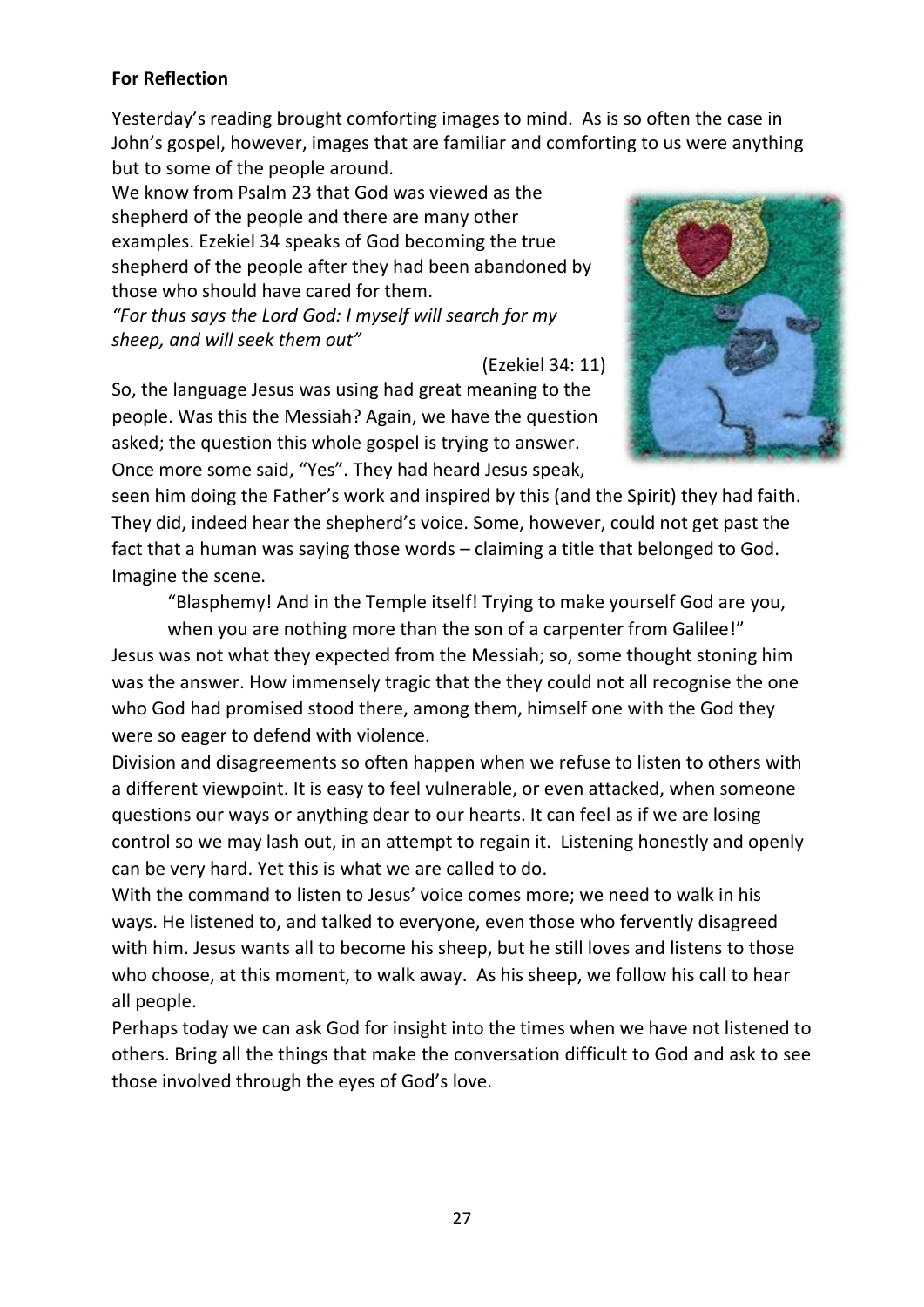#### **For Reflection**

Yesterday's reading brought comforting images to mind. As is so often the case in John's gospel, however, images that are familiar and comforting to us were anything but to some of the people around.

We know from Psalm 23 that God was viewed as the shepherd of the people and there are many other examples. Ezekiel 34 speaks of God becoming the true shepherd of the people after they had been abandoned by those who should have cared for them.

*"For thus says the Lord God: I myself will search for my sheep, and will seek them out"*

(Ezekiel 34: 11)

So, the language Jesus was using had great meaning to the people. Was this the Messiah? Again, we have the question asked; the question this whole gospel is trying to answer. Once more some said, "Yes". They had heard Jesus speak,



seen him doing the Father's work and inspired by this (and the Spirit) they had faith. They did, indeed hear the shepherd's voice. Some, however, could not get past the fact that a human was saying those words – claiming a title that belonged to God. Imagine the scene.

"Blasphemy! And in the Temple itself! Trying to make yourself God are you,

when you are nothing more than the son of a carpenter from Galilee!" Jesus was not what they expected from the Messiah; so, some thought stoning him was the answer. How immensely tragic that the they could not all recognise the one who God had promised stood there, among them, himself one with the God they were so eager to defend with violence.

Division and disagreements so often happen when we refuse to listen to others with a different viewpoint. It is easy to feel vulnerable, or even attacked, when someone questions our ways or anything dear to our hearts. It can feel as if we are losing control so we may lash out, in an attempt to regain it. Listening honestly and openly can be very hard. Yet this is what we are called to do.

With the command to listen to Jesus' voice comes more; we need to walk in his ways. He listened to, and talked to everyone, even those who fervently disagreed with him. Jesus wants all to become his sheep, but he still loves and listens to those who choose, at this moment, to walk away. As his sheep, we follow his call to hear all people.

Perhaps today we can ask God for insight into the times when we have not listened to others. Bring all the things that make the conversation difficult to God and ask to see those involved through the eyes of God's love.